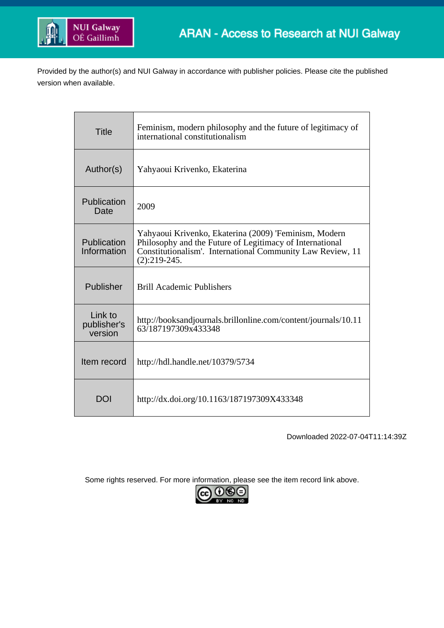

Provided by the author(s) and NUI Galway in accordance with publisher policies. Please cite the published version when available.

| <b>Title</b>                      | Feminism, modern philosophy and the future of legitimacy of<br>international constitutionalism                                                                                                    |
|-----------------------------------|---------------------------------------------------------------------------------------------------------------------------------------------------------------------------------------------------|
| Author(s)                         | Yahyaoui Krivenko, Ekaterina                                                                                                                                                                      |
| Publication<br>Date               | 2009                                                                                                                                                                                              |
| Publication<br>Information        | Yahyaoui Krivenko, Ekaterina (2009) 'Feminism, Modern<br>Philosophy and the Future of Legitimacy of International<br>Constitutionalism'. International Community Law Review, 11<br>$(2):219-245.$ |
| Publisher                         | <b>Brill Academic Publishers</b>                                                                                                                                                                  |
| Link to<br>publisher's<br>version | http://booksandjournals.brillonline.com/content/journals/10.11<br>63/187197309x433348                                                                                                             |
| Item record                       | http://hdl.handle.net/10379/5734                                                                                                                                                                  |
| DOI                               | http://dx.doi.org/10.1163/187197309X433348                                                                                                                                                        |

Downloaded 2022-07-04T11:14:39Z

Some rights reserved. For more information, please see the item record link above.

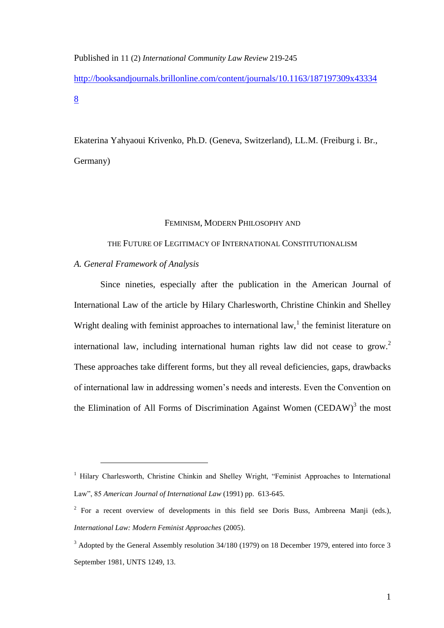Published in 11 (2) *International Community Law Review* 219-245

[http://booksandjournals.brillonline.com/content/journals/10.1163/187197309x43334](http://booksandjournals.brillonline.com/content/journals/10.1163/187197309x433348) [8](http://booksandjournals.brillonline.com/content/journals/10.1163/187197309x433348)

Ekaterina Yahyaoui Krivenko, Ph.D. (Geneva, Switzerland), LL.M. (Freiburg i. Br., Germany)

#### FEMINISM, MODERN PHILOSOPHY AND

THE FUTURE OF LEGITIMACY OF INTERNATIONAL CONSTITUTIONALISM

*A. General Framework of Analysis* 

<u>.</u>

Since nineties, especially after the publication in the American Journal of International Law of the article by Hilary Charlesworth, Christine Chinkin and Shelley Wright dealing with feminist approaches to international law,<sup>1</sup> the feminist literature on international law, including international human rights law did not cease to grow.<sup>2</sup> These approaches take different forms, but they all reveal deficiencies, gaps, drawbacks of international law in addressing women's needs and interests. Even the Convention on the Elimination of All Forms of Discrimination Against Women (CEDAW) $3$  the most

<sup>&</sup>lt;sup>1</sup> Hilary Charlesworth, Christine Chinkin and Shelley Wright, "Feminist Approaches to International Law", 85 *American Journal of International Law* (1991) pp. 613-645.

<sup>&</sup>lt;sup>2</sup> For a recent overview of developments in this field see Doris Buss, Ambreena Manji (eds.), *International Law: Modern Feminist Approaches* (2005).

<sup>&</sup>lt;sup>3</sup> Adopted by the General Assembly resolution 34/180 (1979) on 18 December 1979, entered into force 3 September 1981, UNTS 1249, 13.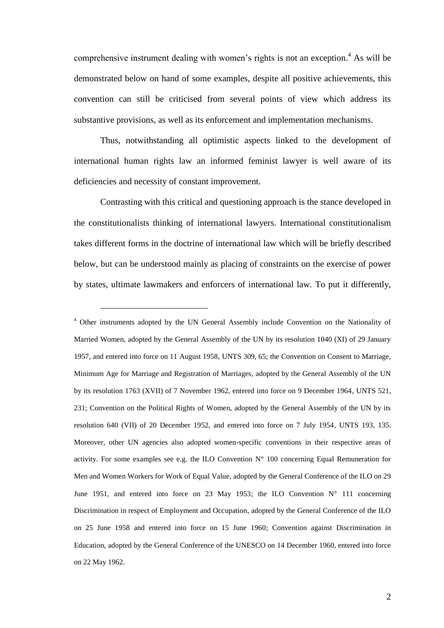comprehensive instrument dealing with women's rights is not an exception.<sup>4</sup> As will be demonstrated below on hand of some examples, despite all positive achievements, this convention can still be criticised from several points of view which address its substantive provisions, as well as its enforcement and implementation mechanisms.

Thus, notwithstanding all optimistic aspects linked to the development of international human rights law an informed feminist lawyer is well aware of its deficiencies and necessity of constant improvement.

Contrasting with this critical and questioning approach is the stance developed in the constitutionalists thinking of international lawyers. International constitutionalism takes different forms in the doctrine of international law which will be briefly described below, but can be understood mainly as placing of constraints on the exercise of power by states, ultimate lawmakers and enforcers of international law. To put it differently,

<sup>4</sup> Other instruments adopted by the UN General Assembly include Convention on the Nationality of Married Women, adopted by the General Assembly of the UN by its resolution 1040 (XI) of 29 January 1957, and entered into force on 11 August 1958, UNTS 309, 65; the Convention on Consent to Marriage, Minimum Age for Marriage and Registration of Marriages, adopted by the General Assembly of the UN by its resolution 1763 (XVII) of 7 November 1962, entered into force on 9 December 1964, UNTS 521, 231; Convention on the Political Rights of Women, adopted by the General Assembly of the UN by its resolution 640 (VII) of 20 December 1952, and entered into force on 7 July 1954, UNTS 193, 135. Moreover, other UN agencies also adopted women-specific conventions in their respective areas of activity. For some examples see e.g. the ILO Convention  $N^{\circ}$  100 concerning Equal Remuneration for Men and Women Workers for Work of Equal Value, adopted by the General Conference of the ILO on 29 June 1951, and entered into force on 23 May 1953; the ILO Convention  $N^{\circ}$  111 concerning Discrimination in respect of Employment and Occupation, adopted by the General Conference of the ILO on 25 June 1958 and entered into force on 15 June 1960; Convention against Discrimination in Education, adopted by the General Conference of the UNESCO on 14 December 1960, entered into force on 22 May 1962.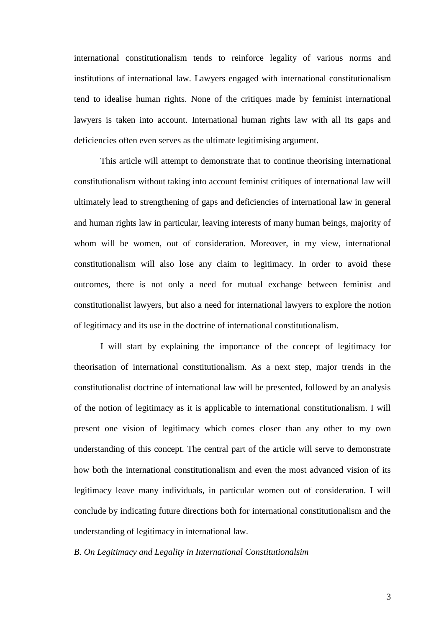international constitutionalism tends to reinforce legality of various norms and institutions of international law. Lawyers engaged with international constitutionalism tend to idealise human rights. None of the critiques made by feminist international lawyers is taken into account. International human rights law with all its gaps and deficiencies often even serves as the ultimate legitimising argument.

This article will attempt to demonstrate that to continue theorising international constitutionalism without taking into account feminist critiques of international law will ultimately lead to strengthening of gaps and deficiencies of international law in general and human rights law in particular, leaving interests of many human beings, majority of whom will be women, out of consideration. Moreover, in my view, international constitutionalism will also lose any claim to legitimacy. In order to avoid these outcomes, there is not only a need for mutual exchange between feminist and constitutionalist lawyers, but also a need for international lawyers to explore the notion of legitimacy and its use in the doctrine of international constitutionalism.

I will start by explaining the importance of the concept of legitimacy for theorisation of international constitutionalism. As a next step, major trends in the constitutionalist doctrine of international law will be presented, followed by an analysis of the notion of legitimacy as it is applicable to international constitutionalism. I will present one vision of legitimacy which comes closer than any other to my own understanding of this concept. The central part of the article will serve to demonstrate how both the international constitutionalism and even the most advanced vision of its legitimacy leave many individuals, in particular women out of consideration. I will conclude by indicating future directions both for international constitutionalism and the understanding of legitimacy in international law.

*B. On Legitimacy and Legality in International Constitutionalsim*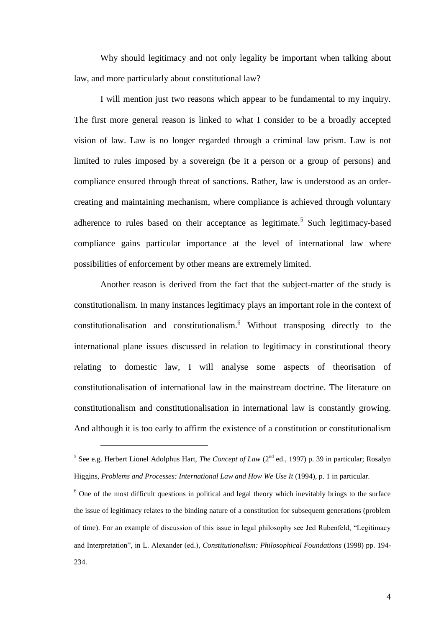Why should legitimacy and not only legality be important when talking about law, and more particularly about constitutional law?

I will mention just two reasons which appear to be fundamental to my inquiry. The first more general reason is linked to what I consider to be a broadly accepted vision of law. Law is no longer regarded through a criminal law prism. Law is not limited to rules imposed by a sovereign (be it a person or a group of persons) and compliance ensured through threat of sanctions. Rather, law is understood as an ordercreating and maintaining mechanism, where compliance is achieved through voluntary adherence to rules based on their acceptance as legitimate.<sup>5</sup> Such legitimacy-based compliance gains particular importance at the level of international law where possibilities of enforcement by other means are extremely limited.

Another reason is derived from the fact that the subject-matter of the study is constitutionalism. In many instances legitimacy plays an important role in the context of constitutionalisation and constitutionalism.<sup>6</sup> Without transposing directly to the international plane issues discussed in relation to legitimacy in constitutional theory relating to domestic law, I will analyse some aspects of theorisation of constitutionalisation of international law in the mainstream doctrine. The literature on constitutionalism and constitutionalisation in international law is constantly growing. And although it is too early to affirm the existence of a constitution or constitutionalism

<sup>&</sup>lt;sup>5</sup> See e.g. Herbert Lionel Adolphus Hart, *The Concept of Law* (2<sup>nd</sup> ed., 1997) p. 39 in particular; Rosalyn Higgins, *Problems and Processes: International Law and How We Use It* (1994), p. 1 in particular.

 $6$  One of the most difficult questions in political and legal theory which inevitably brings to the surface the issue of legitimacy relates to the binding nature of a constitution for subsequent generations (problem of time). For an example of discussion of this issue in legal philosophy see Jed Rubenfeld, "Legitimacy and Interpretation", in L. Alexander (ed.), *Constitutionalism: Philosophical Foundations* (1998) pp. 194- 234.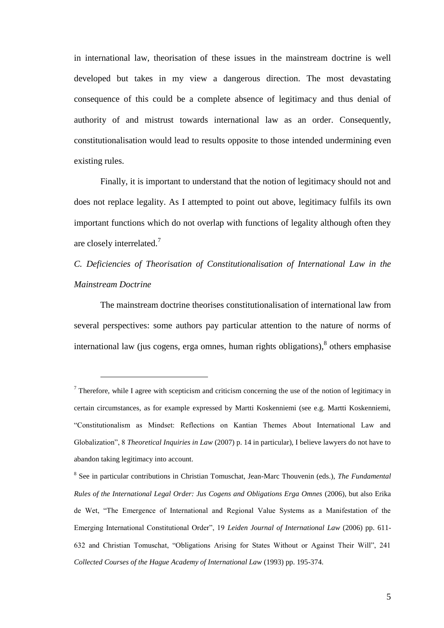in international law, theorisation of these issues in the mainstream doctrine is well developed but takes in my view a dangerous direction. The most devastating consequence of this could be a complete absence of legitimacy and thus denial of authority of and mistrust towards international law as an order. Consequently, constitutionalisation would lead to results opposite to those intended undermining even existing rules.

Finally, it is important to understand that the notion of legitimacy should not and does not replace legality. As I attempted to point out above, legitimacy fulfils its own important functions which do not overlap with functions of legality although often they are closely interrelated.<sup>7</sup>

*C. Deficiencies of Theorisation of Constitutionalisation of International Law in the Mainstream Doctrine*

The mainstream doctrine theorises constitutionalisation of international law from several perspectives: some authors pay particular attention to the nature of norms of international law (jus cogens, erga omnes, human rights obligations), $\delta$  others emphasise

 $7$  Therefore, while I agree with scepticism and criticism concerning the use of the notion of legitimacy in certain circumstances, as for example expressed by Martti Koskenniemi (see e.g. Martti Koskenniemi, "Constitutionalism as Mindset: Reflections on Kantian Themes About International Law and Globalization", 8 *Theoretical Inquiries in Law* (2007) p. 14 in particular), I believe lawyers do not have to abandon taking legitimacy into account.

<sup>8</sup> See in particular contributions in Christian Tomuschat, Jean-Marc Thouvenin (eds.), *The Fundamental Rules of the International Legal Order: Jus Cogens and Obligations Erga Omnes* (2006), but also Erika de Wet, "The Emergence of International and Regional Value Systems as a Manifestation of the Emerging International Constitutional Order", 19 *Leiden Journal of International Law* (2006) pp. 611- 632 and Christian Tomuschat, "Obligations Arising for States Without or Against Their Will", 241 *Collected Courses of the Hague Academy of International Law* (1993) pp. 195-374.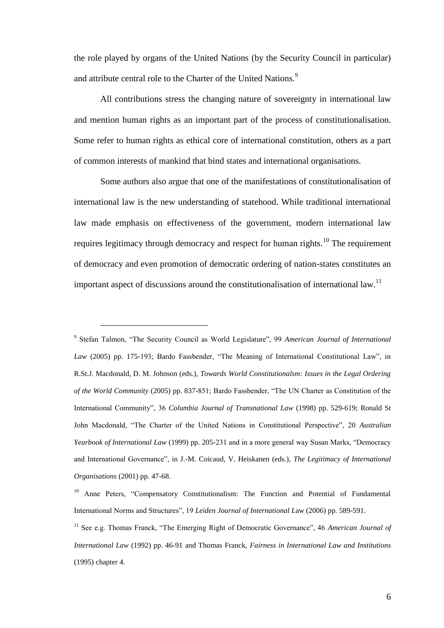the role played by organs of the United Nations (by the Security Council in particular) and attribute central role to the Charter of the United Nations.<sup>9</sup>

All contributions stress the changing nature of sovereignty in international law and mention human rights as an important part of the process of constitutionalisation. Some refer to human rights as ethical core of international constitution, others as a part of common interests of mankind that bind states and international organisations.

Some authors also argue that one of the manifestations of constitutionalisation of international law is the new understanding of statehood. While traditional international law made emphasis on effectiveness of the government, modern international law requires legitimacy through democracy and respect for human rights.<sup>10</sup> The requirement of democracy and even promotion of democratic ordering of nation-states constitutes an important aspect of discussions around the constitutionalisation of international law.<sup>11</sup>

<sup>9</sup> Stefan Talmon, "The Security Council as World Legislature", 99 *American Journal of International Law* (2005) pp. 175-193; Bardo Fassbender, "The Meaning of International Constitutional Law", in R.St.J. Macdonald, D. M. Johnson (eds.), *Towards World Constitutionalsm: Issues in the Legal Ordering of the World Community* (2005) pp. 837-851; Bardo Fassbender, "The UN Charter as Constitution of the International Community", 36 *Columbia Journal of Transnational Law* (1998) pp. 529-619; Ronald St John Macdonald, "The Charter of the United Nations in Constitutional Perspective", 20 *Australian Yearbook of International Law* (1999) pp. 205-231 and in a more general way Susan Marks, "Democracy and International Governance", in J.-M. Coicaud, V. Heiskanen (eds.), *The Legitimacy of International Organisations* (2001) pp. 47-68.

<sup>&</sup>lt;sup>10</sup> Anne Peters, "Compensatory Constitutionalism: The Function and Potential of Fundamental International Norms and Structures", 19 *Leiden Journal of International L*aw (2006) pp. 589-591.

<sup>11</sup> See e.g. Thomas Franck, "The Emerging Right of Democratic Governance", 46 *American Journal of International Law* (1992) pp. 46-91 and Thomas Franck, *Fairness in International Law and Institutions* (1995) chapter 4.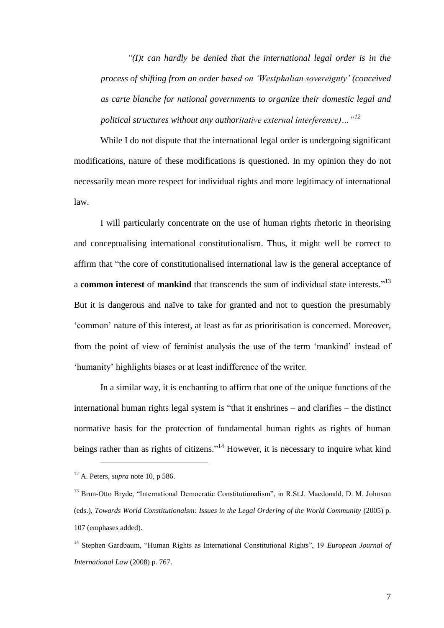*"(I)t can hardly be denied that the international legal order is in the process of shifting from an order based on 'Westphalian sovereignty' (conceived as carte blanche for national governments to organize their domestic legal and political structures without any authoritative external interference)…"<sup>12</sup>*

While I do not dispute that the international legal order is undergoing significant modifications, nature of these modifications is questioned. In my opinion they do not necessarily mean more respect for individual rights and more legitimacy of international law.

I will particularly concentrate on the use of human rights rhetoric in theorising and conceptualising international constitutionalism. Thus, it might well be correct to affirm that "the core of constitutionalised international law is the general acceptance of a **common interest** of **mankind** that transcends the sum of individual state interests."<sup>13</sup> But it is dangerous and naïve to take for granted and not to question the presumably 'common' nature of this interest, at least as far as prioritisation is concerned. Moreover, from the point of view of feminist analysis the use of the term 'mankind' instead of 'humanity' highlights biases or at least indifference of the writer.

In a similar way, it is enchanting to affirm that one of the unique functions of the international human rights legal system is "that it enshrines – and clarifies – the distinct normative basis for the protection of fundamental human rights as rights of human beings rather than as rights of citizens."<sup>14</sup> However, it is necessary to inquire what kind

<sup>12</sup> A. Peters, *supra* note 10, p 586.

<sup>&</sup>lt;sup>13</sup> Brun-Otto Bryde, "International Democratic Constitutionalism", in R.St.J. Macdonald, D. M. Johnson (eds.), *Towards World Constitutionalsm: Issues in the Legal Ordering of the World Community* (2005) p. 107 (emphases added).

<sup>14</sup> Stephen Gardbaum, "Human Rights as International Constitutional Rights", 19 *European Journal of International Law* (2008) p. 767.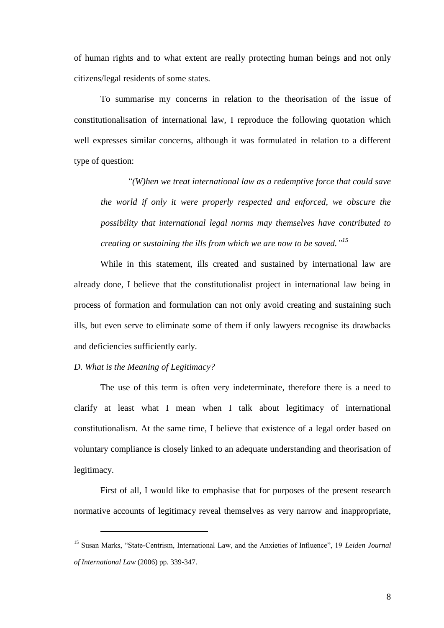of human rights and to what extent are really protecting human beings and not only citizens/legal residents of some states.

To summarise my concerns in relation to the theorisation of the issue of constitutionalisation of international law, I reproduce the following quotation which well expresses similar concerns, although it was formulated in relation to a different type of question:

*"(W)hen we treat international law as a redemptive force that could save the world if only it were properly respected and enforced, we obscure the possibility that international legal norms may themselves have contributed to creating or sustaining the ills from which we are now to be saved." 15*

While in this statement, ills created and sustained by international law are already done, I believe that the constitutionalist project in international law being in process of formation and formulation can not only avoid creating and sustaining such ills, but even serve to eliminate some of them if only lawyers recognise its drawbacks and deficiencies sufficiently early.

# *D. What is the Meaning of Legitimacy?*

1

The use of this term is often very indeterminate, therefore there is a need to clarify at least what I mean when I talk about legitimacy of international constitutionalism. At the same time, I believe that existence of a legal order based on voluntary compliance is closely linked to an adequate understanding and theorisation of legitimacy.

First of all, I would like to emphasise that for purposes of the present research normative accounts of legitimacy reveal themselves as very narrow and inappropriate,

<sup>15</sup> Susan Marks, "State-Centrism, International Law, and the Anxieties of Influence", 19 *Leiden Journal of International Law* (2006) pp. 339-347.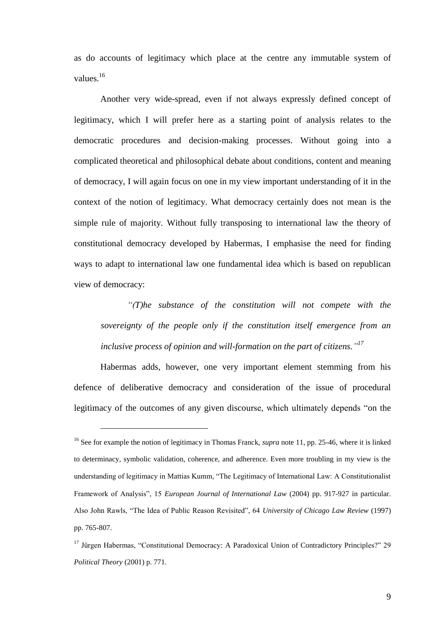as do accounts of legitimacy which place at the centre any immutable system of values.<sup>16</sup>

Another very wide-spread, even if not always expressly defined concept of legitimacy, which I will prefer here as a starting point of analysis relates to the democratic procedures and decision-making processes. Without going into a complicated theoretical and philosophical debate about conditions, content and meaning of democracy, I will again focus on one in my view important understanding of it in the context of the notion of legitimacy. What democracy certainly does not mean is the simple rule of majority. Without fully transposing to international law the theory of constitutional democracy developed by Habermas, I emphasise the need for finding ways to adapt to international law one fundamental idea which is based on republican view of democracy:

*"(T)he substance of the constitution will not compete with the sovereignty of the people only if the constitution itself emergence from an inclusive process of opinion and will-formation on the part of citizens." 17*

Habermas adds, however, one very important element stemming from his defence of deliberative democracy and consideration of the issue of procedural legitimacy of the outcomes of any given discourse, which ultimately depends "on the

<sup>&</sup>lt;sup>16</sup> See for example the notion of legitimacy in Thomas Franck, *supra* note 11, pp. 25-46, where it is linked to determinacy, symbolic validation, coherence, and adherence. Even more troubling in my view is the understanding of legitimacy in Mattias Kumm, "The Legitimacy of International Law: A Constitutionalist Framework of Analysis", 15 *European Journal of International Law* (2004) pp. 917-927 in particular. Also John Rawls, "The Idea of Public Reason Revisited", 64 *University of Chicago Law Review* (1997) pp. 765-807.

<sup>&</sup>lt;sup>17</sup> Jürgen Habermas, "Constitutional Democracy: A Paradoxical Union of Contradictory Principles?" 29 *Political Theory* (2001) p. 771.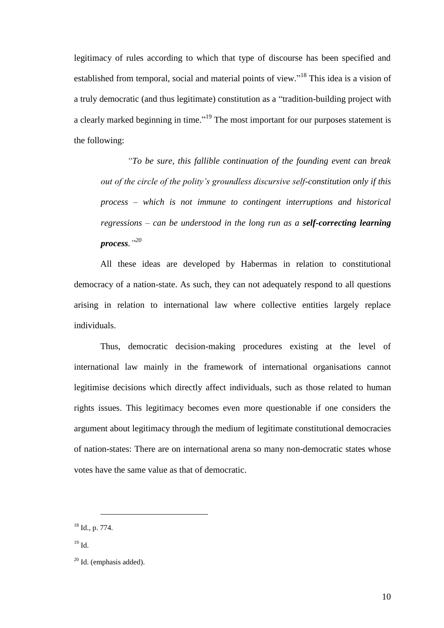legitimacy of rules according to which that type of discourse has been specified and established from temporal, social and material points of view."<sup>18</sup> This idea is a vision of a truly democratic (and thus legitimate) constitution as a "tradition-building project with a clearly marked beginning in time."<sup>19</sup> The most important for our purposes statement is the following:

*"To be sure, this fallible continuation of the founding event can break out of the circle of the polity's groundless discursive self-constitution only if this process – which is not immune to contingent interruptions and historical regressions – can be understood in the long run as a self-correcting learning process." 20*

All these ideas are developed by Habermas in relation to constitutional democracy of a nation-state. As such, they can not adequately respond to all questions arising in relation to international law where collective entities largely replace individuals.

Thus, democratic decision-making procedures existing at the level of international law mainly in the framework of international organisations cannot legitimise decisions which directly affect individuals, such as those related to human rights issues. This legitimacy becomes even more questionable if one considers the argument about legitimacy through the medium of legitimate constitutional democracies of nation-states: There are on international arena so many non-democratic states whose votes have the same value as that of democratic.

<sup>18</sup> Id., p. 774.

 $19$  Id.

 $20$  Id. (emphasis added).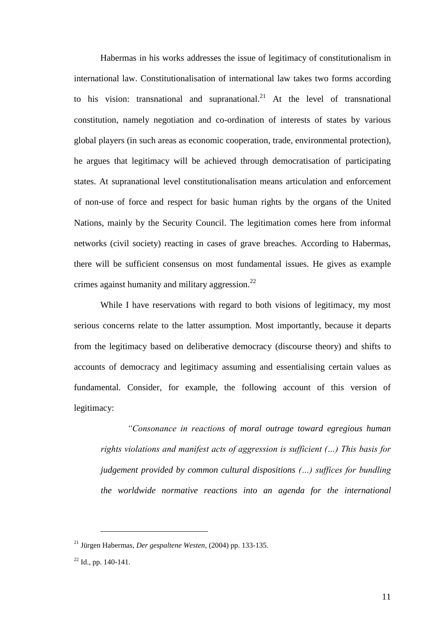Habermas in his works addresses the issue of legitimacy of constitutionalism in international law. Constitutionalisation of international law takes two forms according to his vision: transnational and supranational.<sup>21</sup> At the level of transnational constitution, namely negotiation and co-ordination of interests of states by various global players (in such areas as economic cooperation, trade, environmental protection), he argues that legitimacy will be achieved through democratisation of participating states. At supranational level constitutionalisation means articulation and enforcement of non-use of force and respect for basic human rights by the organs of the United Nations, mainly by the Security Council. The legitimation comes here from informal networks (civil society) reacting in cases of grave breaches. According to Habermas, there will be sufficient consensus on most fundamental issues. He gives as example crimes against humanity and military aggression. $^{22}$ 

While I have reservations with regard to both visions of legitimacy, my most serious concerns relate to the latter assumption. Most importantly, because it departs from the legitimacy based on deliberative democracy (discourse theory) and shifts to accounts of democracy and legitimacy assuming and essentialising certain values as fundamental. Consider, for example, the following account of this version of legitimacy:

*"Consonance in reactions of moral outrage toward egregious human rights violations and manifest acts of aggression is sufficient (…) This basis for judgement provided by common cultural dispositions (…) suffices for bundling the worldwide normative reactions into an agenda for the international* 

<sup>21</sup> Jürgen Habermas, *Der gespaltene Westen*, (2004) pp. 133-135.

 $22$  Id., pp. 140-141.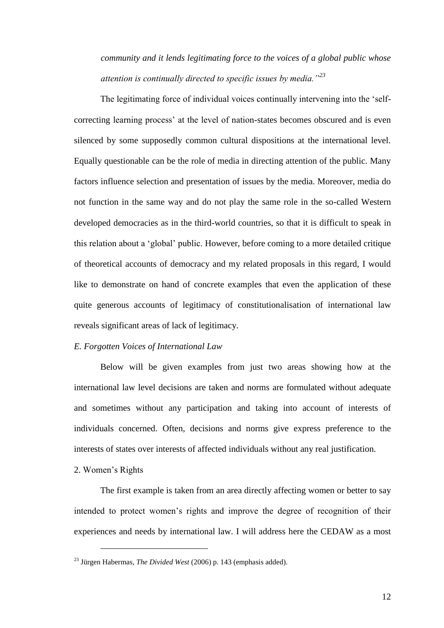*community and it lends legitimating force to the voices of a global public whose attention is continually directed to specific issues by media."<sup>23</sup>*

The legitimating force of individual voices continually intervening into the 'selfcorrecting learning process' at the level of nation-states becomes obscured and is even silenced by some supposedly common cultural dispositions at the international level. Equally questionable can be the role of media in directing attention of the public. Many factors influence selection and presentation of issues by the media. Moreover, media do not function in the same way and do not play the same role in the so-called Western developed democracies as in the third-world countries, so that it is difficult to speak in this relation about a 'global' public. However, before coming to a more detailed critique of theoretical accounts of democracy and my related proposals in this regard, I would like to demonstrate on hand of concrete examples that even the application of these quite generous accounts of legitimacy of constitutionalisation of international law reveals significant areas of lack of legitimacy.

## *E. Forgotten Voices of International Law*

Below will be given examples from just two areas showing how at the international law level decisions are taken and norms are formulated without adequate and sometimes without any participation and taking into account of interests of individuals concerned. Often, decisions and norms give express preference to the interests of states over interests of affected individuals without any real justification.

2. Women's Rights

<u>.</u>

The first example is taken from an area directly affecting women or better to say intended to protect women's rights and improve the degree of recognition of their experiences and needs by international law. I will address here the CEDAW as a most

<sup>23</sup> Jürgen Habermas, *The Divided West* (2006) p. 143 (emphasis added).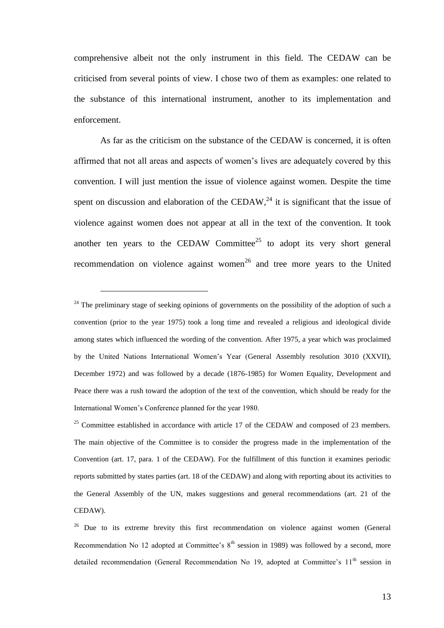comprehensive albeit not the only instrument in this field. The CEDAW can be criticised from several points of view. I chose two of them as examples: one related to the substance of this international instrument, another to its implementation and enforcement.

As far as the criticism on the substance of the CEDAW is concerned, it is often affirmed that not all areas and aspects of women's lives are adequately covered by this convention. I will just mention the issue of violence against women. Despite the time spent on discussion and elaboration of the CEDAW,<sup>24</sup> it is significant that the issue of violence against women does not appear at all in the text of the convention. It took another ten years to the CEDAW Committee<sup>25</sup> to adopt its very short general recommendation on violence against women<sup>26</sup> and tree more years to the United

1

 $25$  Committee established in accordance with article 17 of the CEDAW and composed of 23 members. The main objective of the Committee is to consider the progress made in the implementation of the Convention (art. 17, para. 1 of the CEDAW). For the fulfillment of this function it examines periodic reports submitted by states parties (art. 18 of the CEDAW) and along with reporting about its activities to the General Assembly of the UN, makes suggestions and general recommendations (art. 21 of the CEDAW).

<sup>&</sup>lt;sup>24</sup> The preliminary stage of seeking opinions of governments on the possibility of the adoption of such a convention (prior to the year 1975) took a long time and revealed a religious and ideological divide among states which influenced the wording of the convention. After 1975, a year which was proclaimed by the United Nations International Women's Year (General Assembly resolution 3010 (XXVII), December 1972) and was followed by a decade (1876-1985) for Women Equality, Development and Peace there was a rush toward the adoption of the text of the convention, which should be ready for the International Women's Conference planned for the year 1980.

<sup>&</sup>lt;sup>26</sup> Due to its extreme brevity this first recommendation on violence against women (General Recommendation No 12 adopted at Committee's  $8<sup>th</sup>$  session in 1989) was followed by a second, more detailed recommendation (General Recommendation No 19, adopted at Committee's  $11<sup>th</sup>$  session in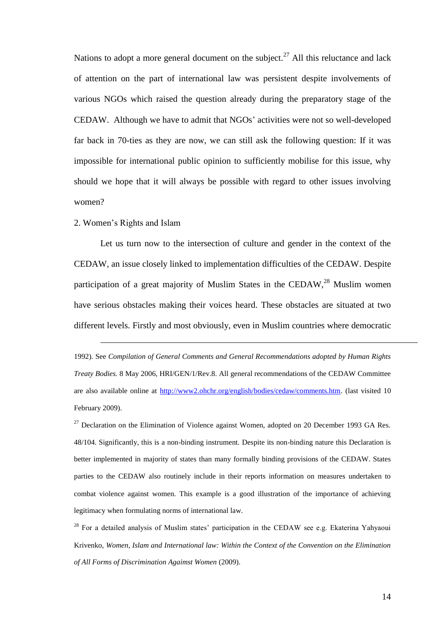Nations to adopt a more general document on the subject.<sup>27</sup> All this reluctance and lack of attention on the part of international law was persistent despite involvements of various NGOs which raised the question already during the preparatory stage of the CEDAW. Although we have to admit that NGOs' activities were not so well-developed far back in 70-ties as they are now, we can still ask the following question: If it was impossible for international public opinion to sufficiently mobilise for this issue, why should we hope that it will always be possible with regard to other issues involving women?

## 2. Women's Rights and Islam

1

Let us turn now to the intersection of culture and gender in the context of the CEDAW, an issue closely linked to implementation difficulties of the CEDAW. Despite participation of a great majority of Muslim States in the CEDAW,  $^{28}$  Muslim women have serious obstacles making their voices heard. These obstacles are situated at two different levels. Firstly and most obviously, even in Muslim countries where democratic

<sup>1992).</sup> See *Compilation of General Comments and General Recommendations adopted by Human Rights Treaty Bodies.* 8 May 2006, HRI/GEN/1/Rev.8. All general recommendations of the CEDAW Committee are also available online at [http://www2.ohchr.org/english/bodies/cedaw/comments.htm.](http://www2.ohchr.org/english/bodies/cedaw/comments.htm) (last visited 10 February 2009).

 $^{27}$  Declaration on the Elimination of Violence against Women, adopted on 20 December 1993 GA Res. 48/104. Significantly, this is a non-binding instrument. Despite its non-binding nature this Declaration is better implemented in majority of states than many formally binding provisions of the CEDAW. States parties to the CEDAW also routinely include in their reports information on measures undertaken to combat violence against women. This example is a good illustration of the importance of achieving legitimacy when formulating norms of international law.

 $28$  For a detailed analysis of Muslim states' participation in the CEDAW see e.g. Ekaterina Yahyaoui Krivenko, *Women, Islam and International law: Within the Context of the Convention on the Elimination of All Forms of Discrimination Agaimst Women* (2009).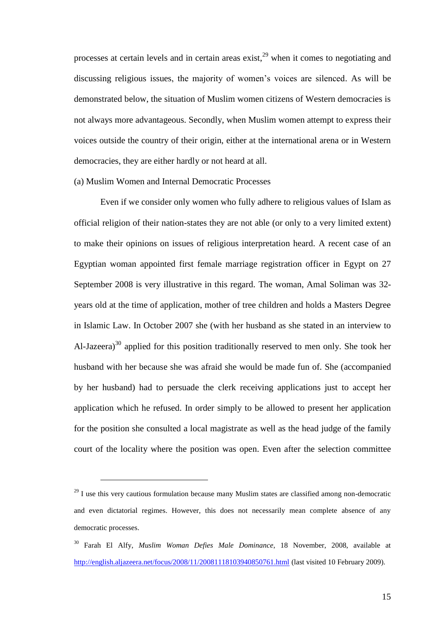processes at certain levels and in certain areas exist, $^{29}$  when it comes to negotiating and discussing religious issues, the majority of women's voices are silenced. As will be demonstrated below, the situation of Muslim women citizens of Western democracies is not always more advantageous. Secondly, when Muslim women attempt to express their voices outside the country of their origin, either at the international arena or in Western democracies, they are either hardly or not heard at all.

## (a) Muslim Women and Internal Democratic Processes

1

Even if we consider only women who fully adhere to religious values of Islam as official religion of their nation-states they are not able (or only to a very limited extent) to make their opinions on issues of religious interpretation heard. A recent case of an Egyptian woman appointed first female marriage registration officer in Egypt on 27 September 2008 is very illustrative in this regard. The woman, Amal Soliman was 32 years old at the time of application, mother of tree children and holds a Masters Degree in Islamic Law. In October 2007 she (with her husband as she stated in an interview to Al-Jazeera)<sup>30</sup> applied for this position traditionally reserved to men only. She took her husband with her because she was afraid she would be made fun of. She (accompanied by her husband) had to persuade the clerk receiving applications just to accept her application which he refused. In order simply to be allowed to present her application for the position she consulted a local magistrate as well as the head judge of the family court of the locality where the position was open. Even after the selection committee

 $29$  I use this very cautious formulation because many Muslim states are classified among non-democratic and even dictatorial regimes. However, this does not necessarily mean complete absence of any democratic processes.

<sup>30</sup> Farah El Alfy, *Muslim Woman Defies Male Dominance*, 18 November, 2008, available at <http://english.aljazeera.net/focus/2008/11/20081118103940850761.html> (last visited 10 February 2009).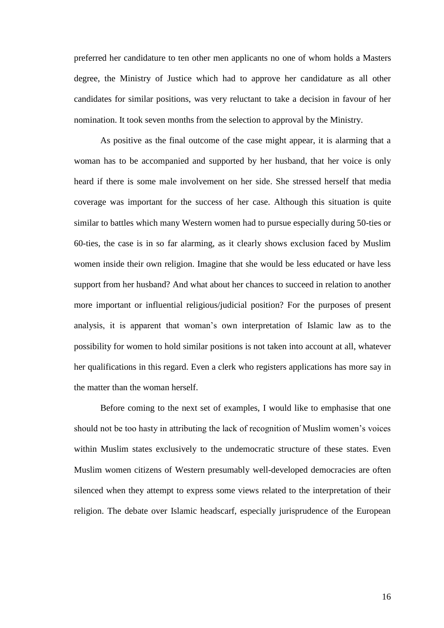preferred her candidature to ten other men applicants no one of whom holds a Masters degree, the Ministry of Justice which had to approve her candidature as all other candidates for similar positions, was very reluctant to take a decision in favour of her nomination. It took seven months from the selection to approval by the Ministry.

As positive as the final outcome of the case might appear, it is alarming that a woman has to be accompanied and supported by her husband, that her voice is only heard if there is some male involvement on her side. She stressed herself that media coverage was important for the success of her case. Although this situation is quite similar to battles which many Western women had to pursue especially during 50-ties or 60-ties, the case is in so far alarming, as it clearly shows exclusion faced by Muslim women inside their own religion. Imagine that she would be less educated or have less support from her husband? And what about her chances to succeed in relation to another more important or influential religious/judicial position? For the purposes of present analysis, it is apparent that woman's own interpretation of Islamic law as to the possibility for women to hold similar positions is not taken into account at all, whatever her qualifications in this regard. Even a clerk who registers applications has more say in the matter than the woman herself.

Before coming to the next set of examples, I would like to emphasise that one should not be too hasty in attributing the lack of recognition of Muslim women's voices within Muslim states exclusively to the undemocratic structure of these states. Even Muslim women citizens of Western presumably well-developed democracies are often silenced when they attempt to express some views related to the interpretation of their religion. The debate over Islamic headscarf, especially jurisprudence of the European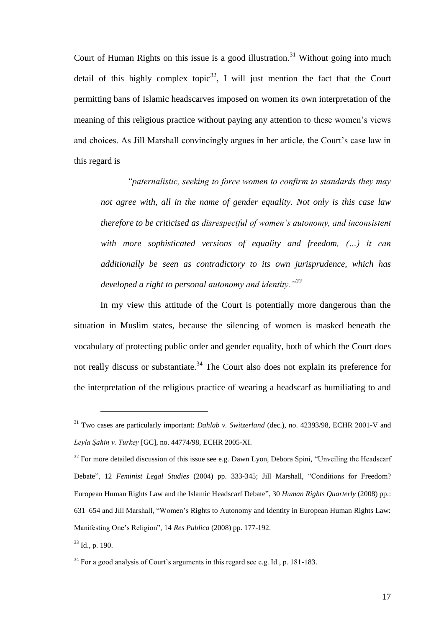Court of Human Rights on this issue is a good illustration.<sup>31</sup> Without going into much detail of this highly complex topic<sup>32</sup>, I will just mention the fact that the Court permitting bans of Islamic headscarves imposed on women its own interpretation of the meaning of this religious practice without paying any attention to these women's views and choices. As Jill Marshall convincingly argues in her article, the Court's case law in this regard is

*"paternalistic, seeking to force women to confirm to standards they may not agree with, all in the name of gender equality. Not only is this case law therefore to be criticised as disrespectful of women's autonomy, and inconsistent with more sophisticated versions of equality and freedom, (…) it can additionally be seen as contradictory to its own jurisprudence, which has developed a right to personal autonomy and identity."<sup>33</sup>*

In my view this attitude of the Court is potentially more dangerous than the situation in Muslim states, because the silencing of women is masked beneath the vocabulary of protecting public order and gender equality, both of which the Court does not really discuss or substantiate.<sup>34</sup> The Court also does not explain its preference for the interpretation of the religious practice of wearing a headscarf as humiliating to and

<sup>31</sup> Two cases are particularly important: *Dahlab v. Switzerland* (dec.), no. 42393/98, ECHR 2001-V and *Leyla Şahin v. Turkey* [GC], no. 44774/98, ECHR 2005-XI.

 $32$  For more detailed discussion of this issue see e.g. Dawn Lyon, Debora Spini, "Unveiling the Headscarf Debate", 12 *Feminist Legal Studies* (2004) pp. 333-345; Jill Marshall, "Conditions for Freedom? European Human Rights Law and the Islamic Headscarf Debate", 30 *Human Rights Quarterly* (2008) pp.: 631–654 and Jill Marshall, "Women's Rights to Autonomy and Identity in European Human Rights Law: Manifesting One's Religion", 14 *Res Publica* (2008) pp. 177-192.

 $33$  Id., p. 190.

 $34$  For a good analysis of Court's arguments in this regard see e.g. Id., p. 181-183.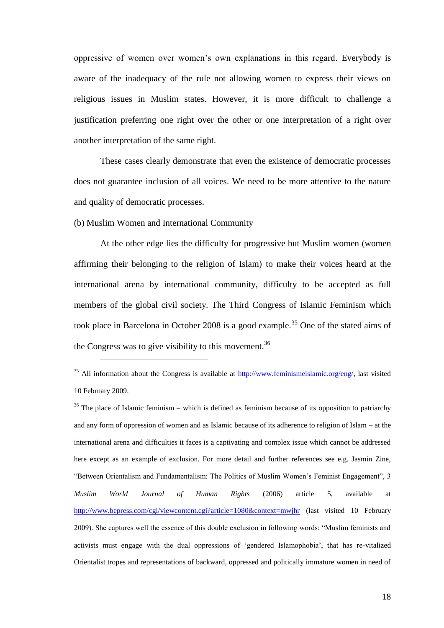oppressive of women over women's own explanations in this regard. Everybody is aware of the inadequacy of the rule not allowing women to express their views on religious issues in Muslim states. However, it is more difficult to challenge a justification preferring one right over the other or one interpretation of a right over another interpretation of the same right.

These cases clearly demonstrate that even the existence of democratic processes does not guarantee inclusion of all voices. We need to be more attentive to the nature and quality of democratic processes.

(b) Muslim Women and International Community

<u>.</u>

At the other edge lies the difficulty for progressive but Muslim women (women affirming their belonging to the religion of Islam) to make their voices heard at the international arena by international community, difficulty to be accepted as full members of the global civil society. The Third Congress of Islamic Feminism which took place in Barcelona in October 2008 is a good example.<sup>35</sup> One of the stated aims of the Congress was to give visibility to this movement.<sup>36</sup>

<sup>&</sup>lt;sup>35</sup> All information about the Congress is available at  $\frac{http://www.feminismeislamic.org/eng/}{http://www.feminismeislamic.org/eng/})$  last visited 10 February 2009.

 $36$  The place of Islamic feminism – which is defined as feminism because of its opposition to patriarchy and any form of oppression of women and as Islamic because of its adherence to religion of Islam – at the international arena and difficulties it faces is a captivating and complex issue which cannot be addressed here except as an example of exclusion. For more detail and further references see e.g. Jasmin Zine, "Between Orientalism and Fundamentalism: The Politics of Muslim Women's Feminist Engagement", 3 *Muslim World Journal of Human Rights* (2006) article 5, available at <http://www.bepress.com/cgi/viewcontent.cgi?article=1080&context=mwjhr> (last visited 10 February 2009). She captures well the essence of this double exclusion in following words: "Muslim feminists and activists must engage with the dual oppressions of 'gendered Islamophobia', that has re-vitalized Orientalist tropes and representations of backward, oppressed and politically immature women in need of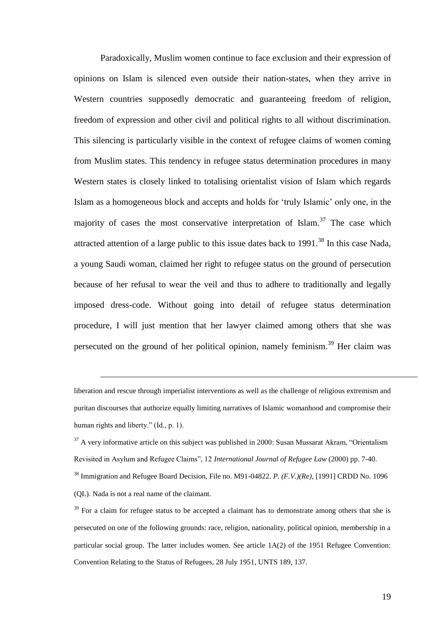Paradoxically, Muslim women continue to face exclusion and their expression of opinions on Islam is silenced even outside their nation-states, when they arrive in Western countries supposedly democratic and guaranteeing freedom of religion, freedom of expression and other civil and political rights to all without discrimination. This silencing is particularly visible in the context of refugee claims of women coming from Muslim states. This tendency in refugee status determination procedures in many Western states is closely linked to totalising orientalist vision of Islam which regards Islam as a homogeneous block and accepts and holds for 'truly Islamic' only one, in the majority of cases the most conservative interpretation of  $\text{Islam}^{37}$ . The case which attracted attention of a large public to this issue dates back to  $1991$ <sup>38</sup>. In this case Nada, a young Saudi woman, claimed her right to refugee status on the ground of persecution because of her refusal to wear the veil and thus to adhere to traditionally and legally imposed dress-code. Without going into detail of refugee status determination procedure, I will just mention that her lawyer claimed among others that she was persecuted on the ground of her political opinion, namely feminism.<sup>39</sup> Her claim was

liberation and rescue through imperialist interventions as well as the challenge of religious extremism and puritan discourses that authorize equally limiting narratives of Islamic womanhood and compromise their human rights and liberty." (Id., p. 1).

 $37$  A very informative article on this subject was published in 2000: Susan Mussarat Akram, "Orientalism" Revisited in Asylum and Refugee Claims", 12 *International Journal of Refugee Law* (2000) pp. 7-40. <sup>38</sup> Immigration and Refugee Board Decision, File no. M91-04822. *P. (F.V.)(Re)*, [1991] CRDD No. 1096 (QL). Nada is not a real name of the claimant.

 $39$  For a claim for refugee status to be accepted a claimant has to demonstrate among others that she is persecuted on one of the following grounds: race, religion, nationality, political opinion, membership in a particular social group. The latter includes women. See article 1A(2) of the 1951 Refugee Convention: Convention Relating to the Status of Refugees, 28 July 1951, UNTS 189, 137.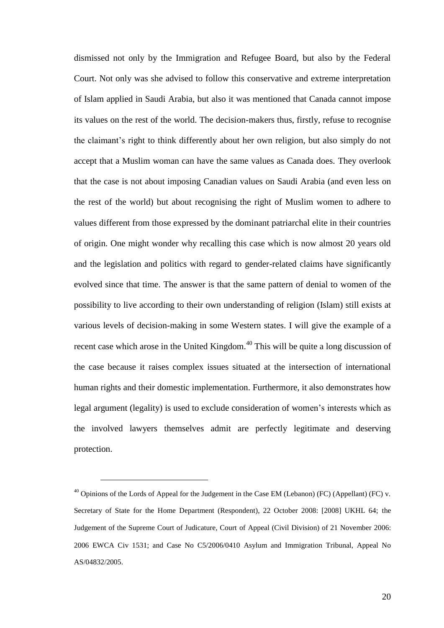dismissed not only by the Immigration and Refugee Board, but also by the Federal Court. Not only was she advised to follow this conservative and extreme interpretation of Islam applied in Saudi Arabia, but also it was mentioned that Canada cannot impose its values on the rest of the world. The decision-makers thus, firstly, refuse to recognise the claimant's right to think differently about her own religion, but also simply do not accept that a Muslim woman can have the same values as Canada does. They overlook that the case is not about imposing Canadian values on Saudi Arabia (and even less on the rest of the world) but about recognising the right of Muslim women to adhere to values different from those expressed by the dominant patriarchal elite in their countries of origin. One might wonder why recalling this case which is now almost 20 years old and the legislation and politics with regard to gender-related claims have significantly evolved since that time. The answer is that the same pattern of denial to women of the possibility to live according to their own understanding of religion (Islam) still exists at various levels of decision-making in some Western states. I will give the example of a recent case which arose in the United Kingdom.<sup>40</sup> This will be quite a long discussion of the case because it raises complex issues situated at the intersection of international human rights and their domestic implementation. Furthermore, it also demonstrates how legal argument (legality) is used to exclude consideration of women's interests which as the involved lawyers themselves admit are perfectly legitimate and deserving protection.

 $^{40}$  Opinions of the Lords of Appeal for the Judgement in the Case EM (Lebanon) (FC) (Appellant) (FC) v. Secretary of State for the Home Department (Respondent), 22 October 2008: [2008] UKHL 64; the Judgement of the Supreme Court of Judicature, Court of Appeal (Civil Division) of 21 November 2006: 2006 EWCA Civ 1531; and Case No C5/2006/0410 Asylum and Immigration Tribunal, Appeal No AS/04832/2005.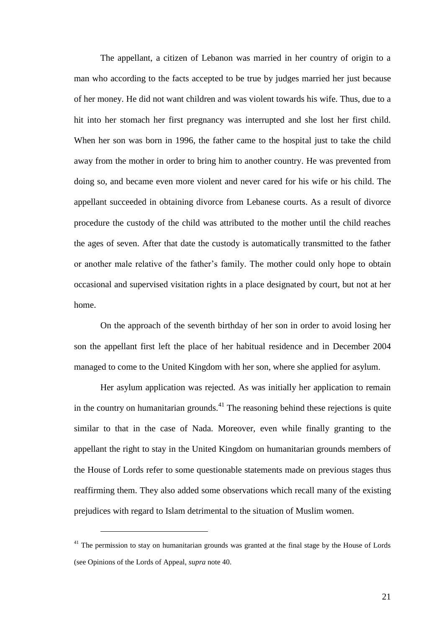The appellant, a citizen of Lebanon was married in her country of origin to a man who according to the facts accepted to be true by judges married her just because of her money. He did not want children and was violent towards his wife. Thus, due to a hit into her stomach her first pregnancy was interrupted and she lost her first child. When her son was born in 1996, the father came to the hospital just to take the child away from the mother in order to bring him to another country. He was prevented from doing so, and became even more violent and never cared for his wife or his child. The appellant succeeded in obtaining divorce from Lebanese courts. As a result of divorce procedure the custody of the child was attributed to the mother until the child reaches the ages of seven. After that date the custody is automatically transmitted to the father or another male relative of the father's family. The mother could only hope to obtain occasional and supervised visitation rights in a place designated by court, but not at her home.

On the approach of the seventh birthday of her son in order to avoid losing her son the appellant first left the place of her habitual residence and in December 2004 managed to come to the United Kingdom with her son, where she applied for asylum.

Her asylum application was rejected. As was initially her application to remain in the country on humanitarian grounds.<sup>41</sup> The reasoning behind these rejections is quite similar to that in the case of Nada. Moreover, even while finally granting to the appellant the right to stay in the United Kingdom on humanitarian grounds members of the House of Lords refer to some questionable statements made on previous stages thus reaffirming them. They also added some observations which recall many of the existing prejudices with regard to Islam detrimental to the situation of Muslim women.

 $41$  The permission to stay on humanitarian grounds was granted at the final stage by the House of Lords (see Opinions of the Lords of Appeal, *supra* note 40.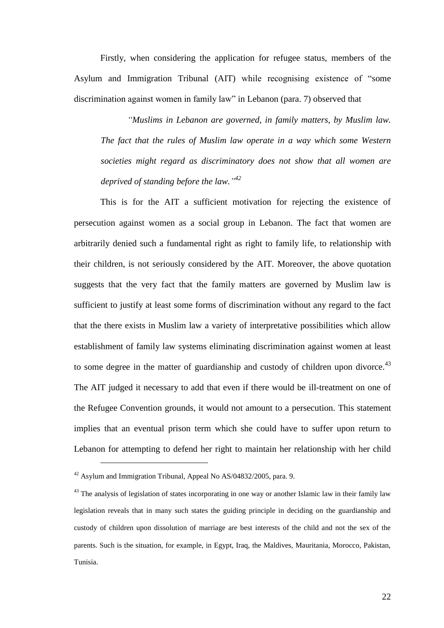Firstly, when considering the application for refugee status, members of the Asylum and Immigration Tribunal (AIT) while recognising existence of "some discrimination against women in family law" in Lebanon (para. 7) observed that

*"Muslims in Lebanon are governed, in family matters, by Muslim law. The fact that the rules of Muslim law operate in a way which some Western societies might regard as discriminatory does not show that all women are deprived of standing before the law." 42*

This is for the AIT a sufficient motivation for rejecting the existence of persecution against women as a social group in Lebanon. The fact that women are arbitrarily denied such a fundamental right as right to family life, to relationship with their children, is not seriously considered by the AIT. Moreover, the above quotation suggests that the very fact that the family matters are governed by Muslim law is sufficient to justify at least some forms of discrimination without any regard to the fact that the there exists in Muslim law a variety of interpretative possibilities which allow establishment of family law systems eliminating discrimination against women at least to some degree in the matter of guardianship and custody of children upon divorce.<sup>43</sup> The AIT judged it necessary to add that even if there would be ill-treatment on one of the Refugee Convention grounds, it would not amount to a persecution. This statement implies that an eventual prison term which she could have to suffer upon return to Lebanon for attempting to defend her right to maintain her relationship with her child

 $42$  Asylum and Immigration Tribunal, Appeal No AS/04832/2005, para. 9.

 $43$  The analysis of legislation of states incorporating in one way or another Islamic law in their family law legislation reveals that in many such states the guiding principle in deciding on the guardianship and custody of children upon dissolution of marriage are best interests of the child and not the sex of the parents. Such is the situation, for example, in Egypt, Iraq, the Maldives, Mauritania, Morocco, Pakistan, Tunisia.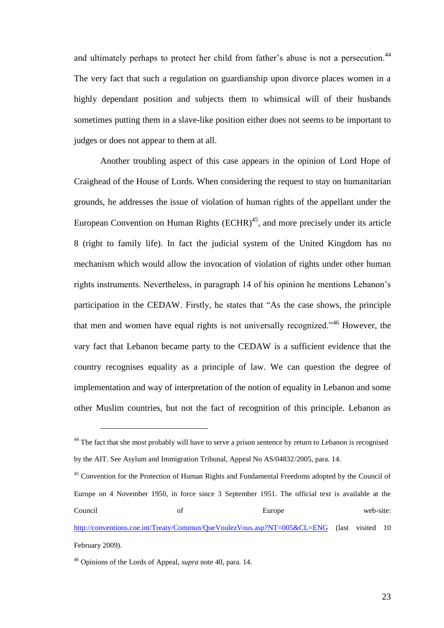and ultimately perhaps to protect her child from father's abuse is not a persecution.<sup>44</sup> The very fact that such a regulation on guardianship upon divorce places women in a highly dependant position and subjects them to whimsical will of their husbands sometimes putting them in a slave-like position either does not seems to be important to judges or does not appear to them at all.

Another troubling aspect of this case appears in the opinion of Lord Hope of Craighead of the House of Lords. When considering the request to stay on humanitarian grounds, he addresses the issue of violation of human rights of the appellant under the European Convention on Human Rights  $(ECHR)^{45}$ , and more precisely under its article 8 (right to family life). In fact the judicial system of the United Kingdom has no mechanism which would allow the invocation of violation of rights under other human rights instruments. Nevertheless, in paragraph 14 of his opinion he mentions Lebanon's participation in the CEDAW. Firstly, he states that "As the case shows, the principle that men and women have equal rights is not universally recognized."<sup>46</sup> However, the vary fact that Lebanon became party to the CEDAW is a sufficient evidence that the country recognises equality as a principle of law. We can question the degree of implementation and way of interpretation of the notion of equality in Lebanon and some other Muslim countries, but not the fact of recognition of this principle. Lebanon as

<sup>&</sup>lt;sup>44</sup> The fact that she most probably will have to serve a prison sentence by return to Lebanon is recognised by the AIT. See Asylum and Immigration Tribunal, Appeal No AS/04832/2005, para. 14.

<sup>&</sup>lt;sup>45</sup> Convention for the Protection of Human Rights and Fundamental Freedoms adopted by the Council of Europe on 4 November 1950, in force since 3 September 1951. The official text is available at the Council of Europe web-site: <http://conventions.coe.int/Treaty/Commun/QueVoulezVous.asp?NT=005&CL=ENG> (last visited 10 February 2009).

<sup>46</sup> Opinions of the Lords of Appeal, *supra* note 40, para. 14.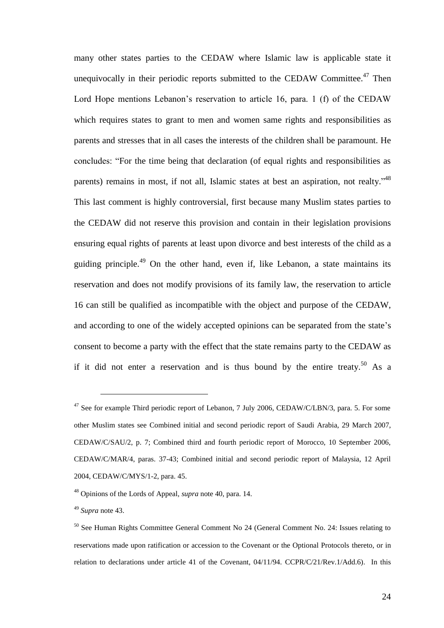many other states parties to the CEDAW where Islamic law is applicable state it unequivocally in their periodic reports submitted to the CEDAW Committee. $47$  Then Lord Hope mentions Lebanon's reservation to article 16, para. 1 (f) of the CEDAW which requires states to grant to men and women same rights and responsibilities as parents and stresses that in all cases the interests of the children shall be paramount. He concludes: "For the time being that declaration (of equal rights and responsibilities as parents) remains in most, if not all, Islamic states at best an aspiration, not realty."<sup>48</sup> This last comment is highly controversial, first because many Muslim states parties to the CEDAW did not reserve this provision and contain in their legislation provisions ensuring equal rights of parents at least upon divorce and best interests of the child as a guiding principle.<sup>49</sup> On the other hand, even if, like Lebanon, a state maintains its reservation and does not modify provisions of its family law, the reservation to article 16 can still be qualified as incompatible with the object and purpose of the CEDAW, and according to one of the widely accepted opinions can be separated from the state's consent to become a party with the effect that the state remains party to the CEDAW as if it did not enter a reservation and is thus bound by the entire treaty.<sup>50</sup> As a

<sup>&</sup>lt;sup>47</sup> See for example Third periodic report of Lebanon, 7 July 2006, CEDAW/C/LBN/3, para. 5. For some other Muslim states see Combined initial and second periodic report of Saudi Arabia, 29 March 2007, CEDAW/C/SAU/2, p. 7; Combined third and fourth periodic report of Morocco, 10 September 2006, CEDAW/C/MAR/4, paras. 37-43; Combined initial and second periodic report of Malaysia, 12 April 2004, CEDAW/C/MYS/1-2, para. 45.

<sup>48</sup> Opinions of the Lords of Appeal, *supra* note 40, para. 14.

<sup>49</sup> *Supra* note 43.

<sup>50</sup> See Human Rights Committee General Comment No 24 (General Comment No. 24: Issues relating to reservations made upon ratification or accession to the Covenant or the Optional Protocols thereto, or in relation to declarations under article 41 of the Covenant, 04/11/94. CCPR/C/21/Rev.1/Add.6). In this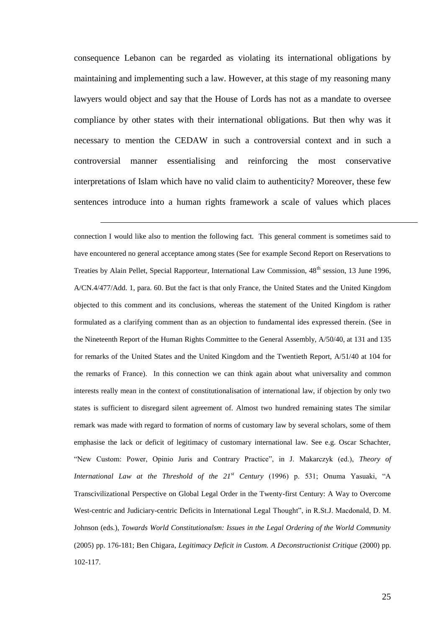consequence Lebanon can be regarded as violating its international obligations by maintaining and implementing such a law. However, at this stage of my reasoning many lawyers would object and say that the House of Lords has not as a mandate to oversee compliance by other states with their international obligations. But then why was it necessary to mention the CEDAW in such a controversial context and in such a controversial manner essentialising and reinforcing the most conservative interpretations of Islam which have no valid claim to authenticity? Moreover, these few sentences introduce into a human rights framework a scale of values which places

<u>.</u>

connection I would like also to mention the following fact. This general comment is sometimes said to have encountered no general acceptance among states (See for example Second Report on Reservations to Treaties by Alain Pellet, Special Rapporteur, International Law Commission, 48<sup>th</sup> session, 13 June 1996, A/CN.4/477/Add. 1, para. 60. But the fact is that only France, the United States and the United Kingdom objected to this comment and its conclusions, whereas the statement of the United Kingdom is rather formulated as a clarifying comment than as an objection to fundamental ides expressed therein. (See in the Nineteenth Report of the Human Rights Committee to the General Assembly, A/50/40, at 131 and 135 for remarks of the United States and the United Kingdom and the Twentieth Report, A/51/40 at 104 for the remarks of France). In this connection we can think again about what universality and common interests really mean in the context of constitutionalisation of international law, if objection by only two states is sufficient to disregard silent agreement of. Almost two hundred remaining states The similar remark was made with regard to formation of norms of customary law by several scholars, some of them emphasise the lack or deficit of legitimacy of customary international law. See e.g. Oscar Schachter, "New Custom: Power, Opinio Juris and Contrary Practice", in J. Makarczyk (ed.), *Theory of International Law at the Threshold of the 21st Century* (1996) p. 531; Onuma Yasuaki, "A Transcivilizational Perspective on Global Legal Order in the Twenty-first Century: A Way to Overcome West-centric and Judiciary-centric Deficits in International Legal Thought", in R.St.J. Macdonald, D. M. Johnson (eds.), *Towards World Constitutionalsm: Issues in the Legal Ordering of the World Community* (2005) pp. 176-181; Ben Chigara, *Legitimacy Deficit in Custom. A Deconstructionist Critique* (2000) pp. 102-117.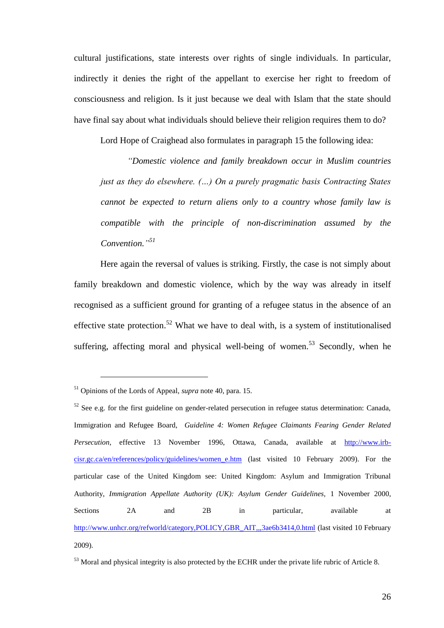cultural justifications, state interests over rights of single individuals. In particular, indirectly it denies the right of the appellant to exercise her right to freedom of consciousness and religion. Is it just because we deal with Islam that the state should have final say about what individuals should believe their religion requires them to do?

Lord Hope of Craighead also formulates in paragraph 15 the following idea:

*"Domestic violence and family breakdown occur in Muslim countries just as they do elsewhere. (…) On a purely pragmatic basis Contracting States cannot be expected to return aliens only to a country whose family law is compatible with the principle of non-discrimination assumed by the Convention." 51*

Here again the reversal of values is striking. Firstly, the case is not simply about family breakdown and domestic violence, which by the way was already in itself recognised as a sufficient ground for granting of a refugee status in the absence of an effective state protection.<sup>52</sup> What we have to deal with, is a system of institutionalised suffering, affecting moral and physical well-being of women.<sup>53</sup> Secondly, when he

<sup>51</sup> Opinions of the Lords of Appeal, *supra* note 40, para. 15.

 $52$  See e.g. for the first guideline on gender-related persecution in refugee status determination: Canada, Immigration and Refugee Board, *Guideline 4: Women Refugee Claimants Fearing Gender Related Persecution*, effective 13 November 1996, Ottawa, Canada, available at [http://www.irb](http://www.irb-cisr.gc.ca/en/references/policy/guidelines/women_e.htm)[cisr.gc.ca/en/references/policy/guidelines/women\\_e.htm](http://www.irb-cisr.gc.ca/en/references/policy/guidelines/women_e.htm) (last visited 10 February 2009). For the particular case of the United Kingdom see: United Kingdom: Asylum and Immigration Tribunal Authority, *Immigration Appellate Authority (UK): Asylum Gender Guidelines,* 1 November 2000, Sections 2A and 2B in particular, available at [http://www.unhcr.org/refworld/category,POLICY,GBR\\_AIT,,,3ae6b3414,0.html](http://www.unhcr.org/refworld/category,POLICY,GBR_AIT,,,3ae6b3414,0.html) (last visited 10 February 2009).

<sup>&</sup>lt;sup>53</sup> Moral and physical integrity is also protected by the ECHR under the private life rubric of Article 8.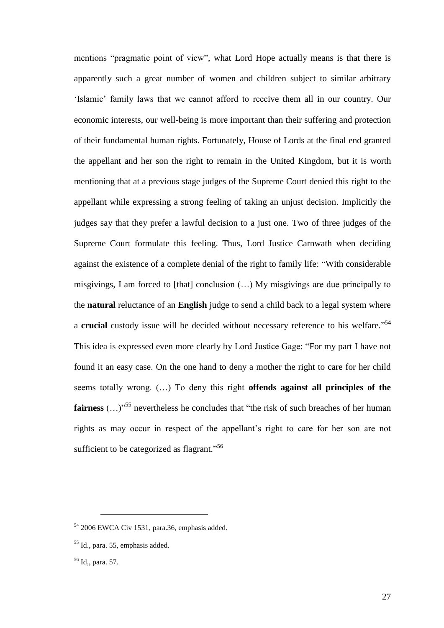mentions "pragmatic point of view", what Lord Hope actually means is that there is apparently such a great number of women and children subject to similar arbitrary 'Islamic' family laws that we cannot afford to receive them all in our country. Our economic interests, our well-being is more important than their suffering and protection of their fundamental human rights. Fortunately, House of Lords at the final end granted the appellant and her son the right to remain in the United Kingdom, but it is worth mentioning that at a previous stage judges of the Supreme Court denied this right to the appellant while expressing a strong feeling of taking an unjust decision. Implicitly the judges say that they prefer a lawful decision to a just one. Two of three judges of the Supreme Court formulate this feeling. Thus, Lord Justice Carnwath when deciding against the existence of a complete denial of the right to family life: "With considerable misgivings, I am forced to [that] conclusion (…) My misgivings are due principally to the **natural** reluctance of an **English** judge to send a child back to a legal system where a **crucial** custody issue will be decided without necessary reference to his welfare."<sup>54</sup> This idea is expressed even more clearly by Lord Justice Gage: "For my part I have not found it an easy case. On the one hand to deny a mother the right to care for her child seems totally wrong. (…) To deny this right **offends against all principles of the fairness** (...)<sup>55</sup> nevertheless he concludes that "the risk of such breaches of her human rights as may occur in respect of the appellant's right to care for her son are not sufficient to be categorized as flagrant."<sup>56</sup>

<sup>54</sup> 2006 EWCA Civ 1531, para.36, emphasis added.

<sup>55</sup> Id., para. 55, emphasis added.

<sup>56</sup> Id,, para. 57.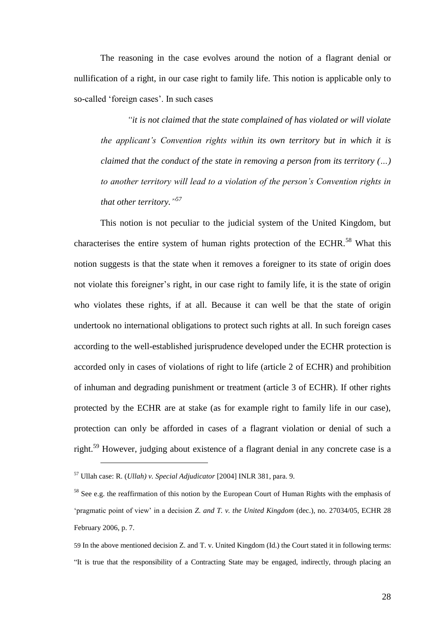The reasoning in the case evolves around the notion of a flagrant denial or nullification of a right, in our case right to family life. This notion is applicable only to so-called 'foreign cases'. In such cases

*"it is not claimed that the state complained of has violated or will violate the applicant's Convention rights within its own territory but in which it is claimed that the conduct of the state in removing a person from its territory (…) to another territory will lead to a violation of the person's Convention rights in that other territory." 57*

This notion is not peculiar to the judicial system of the United Kingdom, but characterises the entire system of human rights protection of the ECHR.<sup>58</sup> What this notion suggests is that the state when it removes a foreigner to its state of origin does not violate this foreigner's right, in our case right to family life, it is the state of origin who violates these rights, if at all. Because it can well be that the state of origin undertook no international obligations to protect such rights at all. In such foreign cases according to the well-established jurisprudence developed under the ECHR protection is accorded only in cases of violations of right to life (article 2 of ECHR) and prohibition of inhuman and degrading punishment or treatment (article 3 of ECHR). If other rights protected by the ECHR are at stake (as for example right to family life in our case), protection can only be afforded in cases of a flagrant violation or denial of such a right.<sup>59</sup> However, judging about existence of a flagrant denial in any concrete case is a

<sup>57</sup> Ullah case: R. (*Ullah) v. Special Adjudicator* [2004] INLR 381, para. 9.

<sup>&</sup>lt;sup>58</sup> See e.g. the reaffirmation of this notion by the European Court of Human Rights with the emphasis of 'pragmatic point of view' in a decision *Z. and T. v. the United Kingdom* (dec.), no. 27034/05, ECHR 28 February 2006, p. 7.

<sup>59</sup> In the above mentioned decision Z. and T. v. United Kingdom (Id.) the Court stated it in following terms: "It is true that the responsibility of a Contracting State may be engaged, indirectly, through placing an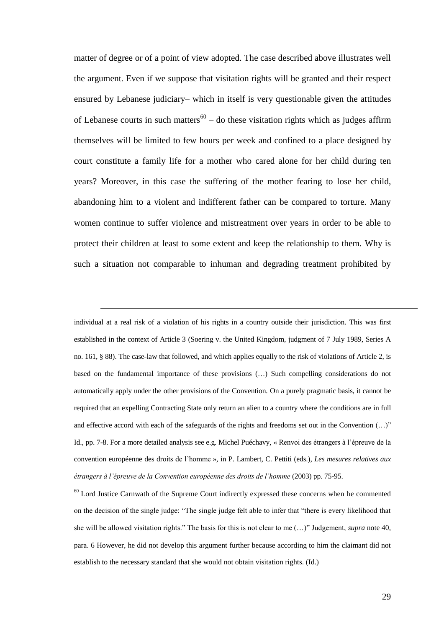matter of degree or of a point of view adopted. The case described above illustrates well the argument. Even if we suppose that visitation rights will be granted and their respect ensured by Lebanese judiciary– which in itself is very questionable given the attitudes of Lebanese courts in such matters<sup>60</sup> – do these visitation rights which as judges affirm themselves will be limited to few hours per week and confined to a place designed by court constitute a family life for a mother who cared alone for her child during ten years? Moreover, in this case the suffering of the mother fearing to lose her child, abandoning him to a violent and indifferent father can be compared to torture. Many women continue to suffer violence and mistreatment over years in order to be able to protect their children at least to some extent and keep the relationship to them. Why is such a situation not comparable to inhuman and degrading treatment prohibited by

individual at a real risk of a violation of his rights in a country outside their jurisdiction. This was first established in the context of Article 3 (Soering v. the United Kingdom, judgment of 7 July 1989, Series A no. 161, § 88). The case-law that followed, and which applies equally to the risk of violations of Article 2, is based on the fundamental importance of these provisions (…) Such compelling considerations do not automatically apply under the other provisions of the Convention. On a purely pragmatic basis, it cannot be required that an expelling Contracting State only return an alien to a country where the conditions are in full and effective accord with each of the safeguards of the rights and freedoms set out in the Convention (…)" Id., pp. 7-8. For a more detailed analysis see e.g. Michel Puéchavy, « Renvoi des étrangers à l'épreuve de la convention européenne des droits de l'homme », in P. Lambert, C. Pettiti (eds.), *Les mesures relatives aux étrangers à l'épreuve de la Convention européenne des droits de l'homme* (2003) pp. 75-95.

<u>.</u>

 $60$  Lord Justice Carnwath of the Supreme Court indirectly expressed these concerns when he commented on the decision of the single judge: "The single judge felt able to infer that "there is every likelihood that she will be allowed visitation rights." The basis for this is not clear to me (…)" Judgement, *supra* note 40, para. 6 However, he did not develop this argument further because according to him the claimant did not establish to the necessary standard that she would not obtain visitation rights. (Id.)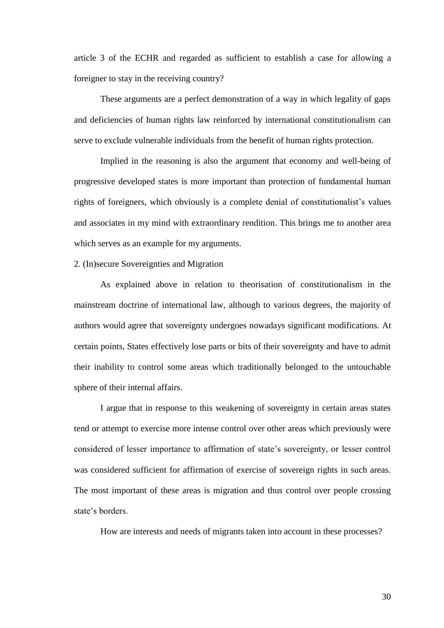article 3 of the ECHR and regarded as sufficient to establish a case for allowing a foreigner to stay in the receiving country?

These arguments are a perfect demonstration of a way in which legality of gaps and deficiencies of human rights law reinforced by international constitutionalism can serve to exclude vulnerable individuals from the benefit of human rights protection.

Implied in the reasoning is also the argument that economy and well-being of progressive developed states is more important than protection of fundamental human rights of foreigners, which obviously is a complete denial of constitutionalist's values and associates in my mind with extraordinary rendition. This brings me to another area which serves as an example for my arguments.

#### 2. (In)secure Sovereignties and Migration

As explained above in relation to theorisation of constitutionalism in the mainstream doctrine of international law, although to various degrees, the majority of authors would agree that sovereignty undergoes nowadays significant modifications. At certain points, States effectively lose parts or bits of their sovereignty and have to admit their inability to control some areas which traditionally belonged to the untouchable sphere of their internal affairs.

I argue that in response to this weakening of sovereignty in certain areas states tend or attempt to exercise more intense control over other areas which previously were considered of lesser importance to affirmation of state's sovereignty, or lesser control was considered sufficient for affirmation of exercise of sovereign rights in such areas. The most important of these areas is migration and thus control over people crossing state's borders.

How are interests and needs of migrants taken into account in these processes?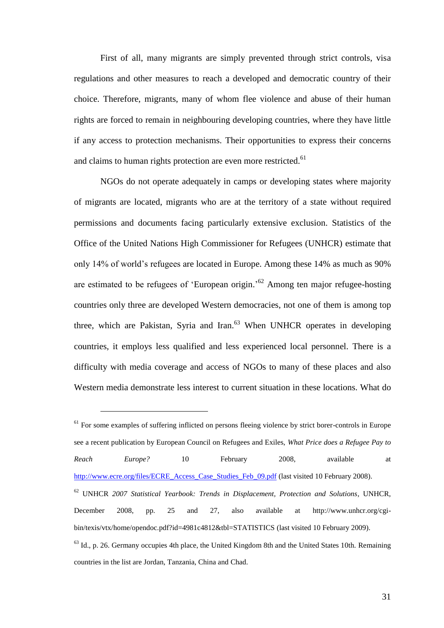First of all, many migrants are simply prevented through strict controls, visa regulations and other measures to reach a developed and democratic country of their choice. Therefore, migrants, many of whom flee violence and abuse of their human rights are forced to remain in neighbouring developing countries, where they have little if any access to protection mechanisms. Their opportunities to express their concerns and claims to human rights protection are even more restricted.<sup>61</sup>

NGOs do not operate adequately in camps or developing states where majority of migrants are located, migrants who are at the territory of a state without required permissions and documents facing particularly extensive exclusion. Statistics of the Office of the United Nations High Commissioner for Refugees (UNHCR) estimate that only 14% of world's refugees are located in Europe. Among these 14% as much as 90% are estimated to be refugees of 'European origin.<sup>52</sup> Among ten major refugee-hosting countries only three are developed Western democracies, not one of them is among top three, which are Pakistan, Syria and Iran. $63$  When UNHCR operates in developing countries, it employs less qualified and less experienced local personnel. There is a difficulty with media coverage and access of NGOs to many of these places and also Western media demonstrate less interest to current situation in these locations. What do

<sup>&</sup>lt;sup>61</sup> For some examples of suffering inflicted on persons fleeing violence by strict borer-controls in Europe see a recent publication by European Council on Refugees and Exiles, *What Price does a Refugee Pay to Reach Europe?* 10 February 2008, available at [http://www.ecre.org/files/ECRE\\_Access\\_Case\\_Studies\\_Feb\\_09.pdf](http://www.ecre.org/files/ECRE_Access_Case_Studies_Feb_09.pdf) (last visited 10 February 2008). <sup>62</sup> UNHCR *2007 Statistical Yearbook: Trends in Displacement, Protection and Solutions*, UNHCR, December 2008, pp. 25 and 27, also available at http://www.unhcr.org/cgibin/texis/vtx/home/opendoc.pdf?id=4981c4812&tbl=STATISTICS (last visited 10 February 2009).  $63$  Id., p. 26. Germany occupies 4th place, the United Kingdom 8th and the United States 10th. Remaining countries in the list are Jordan, Tanzania, China and Chad.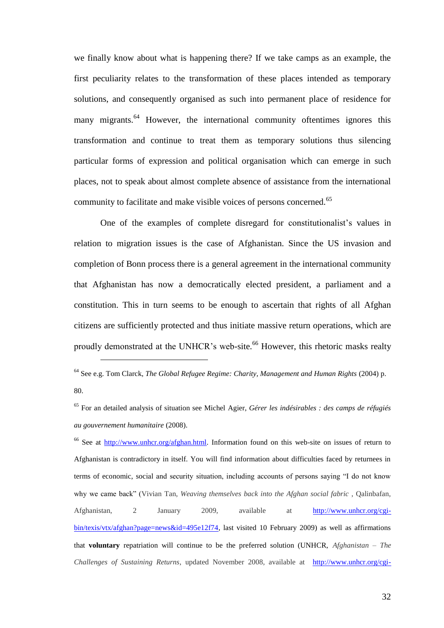we finally know about what is happening there? If we take camps as an example, the first peculiarity relates to the transformation of these places intended as temporary solutions, and consequently organised as such into permanent place of residence for many migrants.<sup>64</sup> However, the international community oftentimes ignores this transformation and continue to treat them as temporary solutions thus silencing particular forms of expression and political organisation which can emerge in such places, not to speak about almost complete absence of assistance from the international community to facilitate and make visible voices of persons concerned.<sup>65</sup>

One of the examples of complete disregard for constitutionalist's values in relation to migration issues is the case of Afghanistan. Since the US invasion and completion of Bonn process there is a general agreement in the international community that Afghanistan has now a democratically elected president, a parliament and a constitution. This in turn seems to be enough to ascertain that rights of all Afghan citizens are sufficiently protected and thus initiate massive return operations, which are proudly demonstrated at the UNHCR's web-site.<sup>66</sup> However, this rhetoric masks realty

<u>.</u>

<sup>66</sup> See at [http://www.unhcr.org/afghan.html.](http://www.unhcr.org/afghan.html) Information found on this web-site on issues of return to Afghanistan is contradictory in itself. You will find information about difficulties faced by returnees in terms of economic, social and security situation, including accounts of persons saying "I do not know why we came back" (Vivian Tan, *Weaving themselves back into the Afghan social fabric* , Qalinbafan, Afghanistan, 2 January 2009, available at [http://www.unhcr.org/cgi](http://www.unhcr.org/cgi-bin/texis/vtx/afghan?page=news&id=495e12f74)[bin/texis/vtx/afghan?page=news&id=495e12f74,](http://www.unhcr.org/cgi-bin/texis/vtx/afghan?page=news&id=495e12f74) last visited 10 February 2009) as well as affirmations that **voluntary** repatriation will continue to be the preferred solution (UNHCR, *Afghanistan – The Challenges of Sustaining Returns*, updated November 2008, available at [http://www.unhcr.org/cgi-](http://www.unhcr.org/cgi-bin/texis/vtx/afghan?page=intro)

<sup>64</sup> See e.g. Tom Clarck, *The Global Refugee Regime: Charity, Management and Human Rights* (2004) p. 80.

<sup>65</sup> For an detailed analysis of situation see Michel Agier, *Gérer les indésirables : des camps de réfugiés au gouvernement humanitaire* (2008).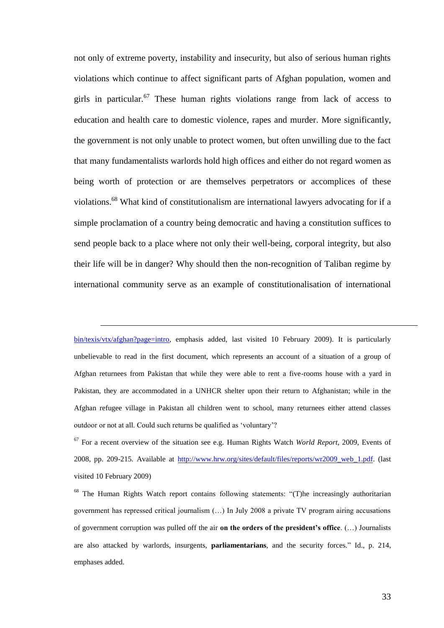not only of extreme poverty, instability and insecurity, but also of serious human rights violations which continue to affect significant parts of Afghan population, women and girls in particular.<sup>67</sup> These human rights violations range from lack of access to education and health care to domestic violence, rapes and murder. More significantly, the government is not only unable to protect women, but often unwilling due to the fact that many fundamentalists warlords hold high offices and either do not regard women as being worth of protection or are themselves perpetrators or accomplices of these violations.<sup>68</sup> What kind of constitutionalism are international lawyers advocating for if a simple proclamation of a country being democratic and having a constitution suffices to send people back to a place where not only their well-being, corporal integrity, but also their life will be in danger? Why should then the non-recognition of Taliban regime by international community serve as an example of constitutionalisation of international

[bin/texis/vtx/afghan?page=intro,](http://www.unhcr.org/cgi-bin/texis/vtx/afghan?page=intro) emphasis added, last visited 10 February 2009). It is particularly unbelievable to read in the first document, which represents an account of a situation of a group of Afghan returnees from Pakistan that while they were able to rent a five-rooms house with a yard in Pakistan, they are accommodated in a UNHCR shelter upon their return to Afghanistan; while in the Afghan refugee village in Pakistan all children went to school, many returnees either attend classes outdoor or not at all. Could such returns be qualified as 'voluntary'?

<sup>67</sup> For a recent overview of the situation see e.g. Human Rights Watch *World Report,* 2009, Events of 2008, pp. 209-215. Available at [http://www.hrw.org/sites/default/files/reports/wr2009\\_web\\_1.pdf.](http://www.hrw.org/sites/default/files/reports/wr2009_web_1.pdf) (last visited 10 February 2009)

<sup>&</sup>lt;sup>68</sup> The Human Rights Watch report contains following statements: "(T)he increasingly authoritarian government has repressed critical journalism (…) In July 2008 a private TV program airing accusations of government corruption was pulled off the air **on the orders of the president's office**. (…) Journalists are also attacked by warlords, insurgents, **parliamentarians**, and the security forces." Id., p. 214, emphases added.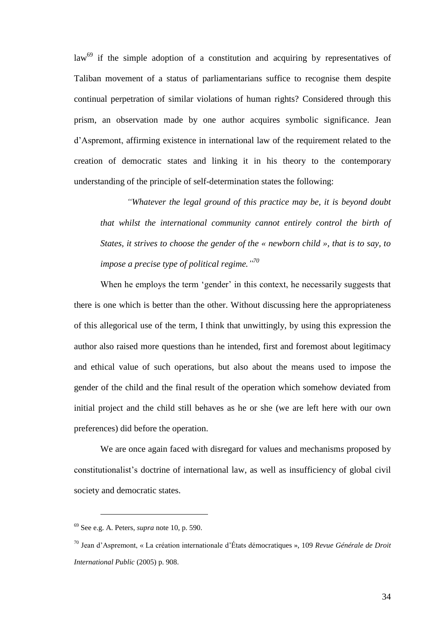$law<sup>69</sup>$  if the simple adoption of a constitution and acquiring by representatives of Taliban movement of a status of parliamentarians suffice to recognise them despite continual perpetration of similar violations of human rights? Considered through this prism, an observation made by one author acquires symbolic significance. Jean d'Aspremont, affirming existence in international law of the requirement related to the creation of democratic states and linking it in his theory to the contemporary understanding of the principle of self-determination states the following:

*"Whatever the legal ground of this practice may be, it is beyond doubt that whilst the international community cannot entirely control the birth of States, it strives to choose the gender of the « newborn child », that is to say, to impose a precise type of political regime." 70*

When he employs the term 'gender' in this context, he necessarily suggests that there is one which is better than the other. Without discussing here the appropriateness of this allegorical use of the term, I think that unwittingly, by using this expression the author also raised more questions than he intended, first and foremost about legitimacy and ethical value of such operations, but also about the means used to impose the gender of the child and the final result of the operation which somehow deviated from initial project and the child still behaves as he or she (we are left here with our own preferences) did before the operation.

We are once again faced with disregard for values and mechanisms proposed by constitutionalist's doctrine of international law, as well as insufficiency of global civil society and democratic states.

<sup>69</sup> See e.g. A. Peters, *supra* note 10, p. 590.

<sup>70</sup> Jean d'Aspremont, « La création internationale d'États démocratiques », 109 *Revue Générale de Droit International Public* (2005) p. 908.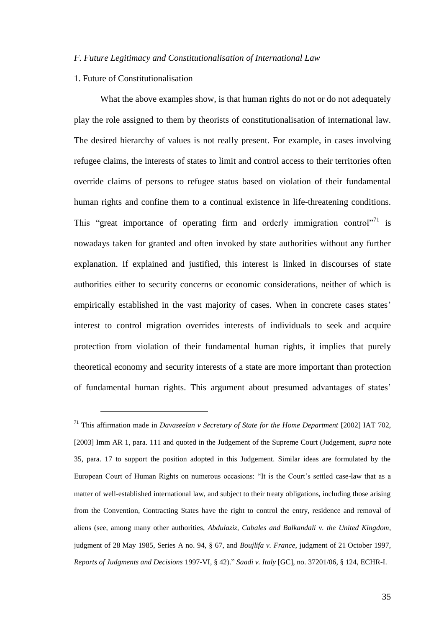### *F. Future Legitimacy and Constitutionalisation of International Law*

# 1. Future of Constitutionalisation

<u>.</u>

What the above examples show, is that human rights do not or do not adequately play the role assigned to them by theorists of constitutionalisation of international law. The desired hierarchy of values is not really present. For example, in cases involving refugee claims, the interests of states to limit and control access to their territories often override claims of persons to refugee status based on violation of their fundamental human rights and confine them to a continual existence in life-threatening conditions. This "great importance of operating firm and orderly immigration control"<sup>71</sup> is nowadays taken for granted and often invoked by state authorities without any further explanation. If explained and justified, this interest is linked in discourses of state authorities either to security concerns or economic considerations, neither of which is empirically established in the vast majority of cases. When in concrete cases states' interest to control migration overrides interests of individuals to seek and acquire protection from violation of their fundamental human rights, it implies that purely theoretical economy and security interests of a state are more important than protection of fundamental human rights. This argument about presumed advantages of states'

<sup>71</sup> This affirmation made in *Davaseelan v Secretary of State for the Home Department* [2002] IAT 702, [2003] Imm AR 1, para. 111 and quoted in the Judgement of the Supreme Court (Judgement, *supra* note 35, para. 17 to support the position adopted in this Judgement. Similar ideas are formulated by the European Court of Human Rights on numerous occasions: "It is the Court's settled case-law that as a matter of well-established international law, and subject to their treaty obligations, including those arising from the Convention, Contracting States have the right to control the entry, residence and removal of aliens (see, among many other authorities, *Abdulaziz, Cabales and Balkandali v. the United Kingdom*, judgment of 28 May 1985, Series A no. 94, § 67, and *Boujlifa v. France*, judgment of 21 October 1997, *Reports of Judgments and Decisions* 1997-VI, § 42)." *Saadi v. Italy* [GC], no. 37201/06, § 124, ECHR-I.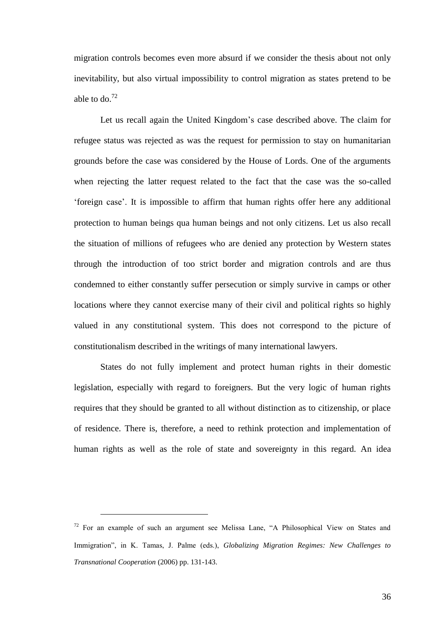migration controls becomes even more absurd if we consider the thesis about not only inevitability, but also virtual impossibility to control migration as states pretend to be able to do. $^{72}$ 

Let us recall again the United Kingdom's case described above. The claim for refugee status was rejected as was the request for permission to stay on humanitarian grounds before the case was considered by the House of Lords. One of the arguments when rejecting the latter request related to the fact that the case was the so-called 'foreign case'. It is impossible to affirm that human rights offer here any additional protection to human beings qua human beings and not only citizens. Let us also recall the situation of millions of refugees who are denied any protection by Western states through the introduction of too strict border and migration controls and are thus condemned to either constantly suffer persecution or simply survive in camps or other locations where they cannot exercise many of their civil and political rights so highly valued in any constitutional system. This does not correspond to the picture of constitutionalism described in the writings of many international lawyers.

States do not fully implement and protect human rights in their domestic legislation, especially with regard to foreigners. But the very logic of human rights requires that they should be granted to all without distinction as to citizenship, or place of residence. There is, therefore, a need to rethink protection and implementation of human rights as well as the role of state and sovereignty in this regard. An idea

<sup>72</sup> For an example of such an argument see Melissa Lane, "A Philosophical View on States and Immigration", in K. Tamas, J. Palme (eds.), *Globalizing Migration Regimes: New Challenges to Transnational Cooperation* (2006) pp. 131-143.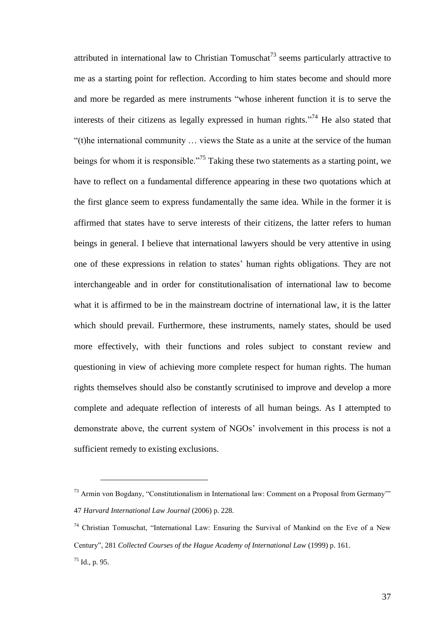attributed in international law to Christian Tomuschat<sup>73</sup> seems particularly attractive to me as a starting point for reflection. According to him states become and should more and more be regarded as mere instruments "whose inherent function it is to serve the interests of their citizens as legally expressed in human rights."<sup>74</sup> He also stated that "(t)he international community … views the State as a unite at the service of the human beings for whom it is responsible."<sup>75</sup> Taking these two statements as a starting point, we have to reflect on a fundamental difference appearing in these two quotations which at the first glance seem to express fundamentally the same idea. While in the former it is affirmed that states have to serve interests of their citizens, the latter refers to human beings in general. I believe that international lawyers should be very attentive in using one of these expressions in relation to states' human rights obligations. They are not interchangeable and in order for constitutionalisation of international law to become what it is affirmed to be in the mainstream doctrine of international law, it is the latter which should prevail. Furthermore, these instruments, namely states, should be used more effectively, with their functions and roles subject to constant review and questioning in view of achieving more complete respect for human rights. The human rights themselves should also be constantly scrutinised to improve and develop a more complete and adequate reflection of interests of all human beings. As I attempted to demonstrate above, the current system of NGOs' involvement in this process is not a sufficient remedy to existing exclusions.

1

<sup>74</sup> Christian Tomuschat, "International Law: Ensuring the Survival of Mankind on the Eve of a New Century", 281 *Collected Courses of the Hague Academy of International Law* (1999) p. 161.  $^{75}$  Id., p. 95.

<sup>73</sup> Armin von Bogdany, "Constitutionalism in International law: Comment on a Proposal from Germany'" 47 *Harvard International Law Journal* (2006) p. 228.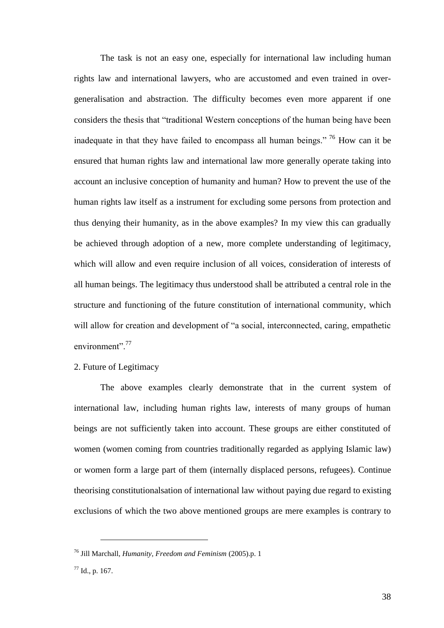The task is not an easy one, especially for international law including human rights law and international lawyers, who are accustomed and even trained in overgeneralisation and abstraction. The difficulty becomes even more apparent if one considers the thesis that "traditional Western conceptions of the human being have been inadequate in that they have failed to encompass all human beings." <sup>76</sup> How can it be ensured that human rights law and international law more generally operate taking into account an inclusive conception of humanity and human? How to prevent the use of the human rights law itself as a instrument for excluding some persons from protection and thus denying their humanity, as in the above examples? In my view this can gradually be achieved through adoption of a new, more complete understanding of legitimacy, which will allow and even require inclusion of all voices, consideration of interests of all human beings. The legitimacy thus understood shall be attributed a central role in the structure and functioning of the future constitution of international community, which will allow for creation and development of "a social, interconnected, caring, empathetic environment".<sup>77</sup>

2. Future of Legitimacy

The above examples clearly demonstrate that in the current system of international law, including human rights law, interests of many groups of human beings are not sufficiently taken into account. These groups are either constituted of women (women coming from countries traditionally regarded as applying Islamic law) or women form a large part of them (internally displaced persons, refugees). Continue theorising constitutionalsation of international law without paying due regard to existing exclusions of which the two above mentioned groups are mere examples is contrary to

<sup>76</sup> Jill Marchall, *Humanity, Freedom and Feminism* (2005).p. 1

 $77$  Id., p. 167.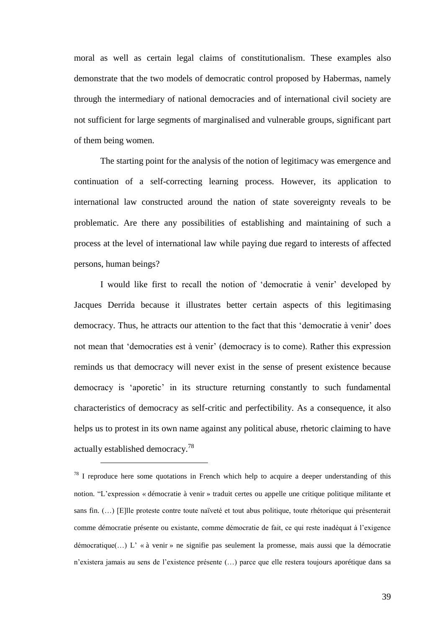moral as well as certain legal claims of constitutionalism. These examples also demonstrate that the two models of democratic control proposed by Habermas, namely through the intermediary of national democracies and of international civil society are not sufficient for large segments of marginalised and vulnerable groups, significant part of them being women.

The starting point for the analysis of the notion of legitimacy was emergence and continuation of a self-correcting learning process. However, its application to international law constructed around the nation of state sovereignty reveals to be problematic. Are there any possibilities of establishing and maintaining of such a process at the level of international law while paying due regard to interests of affected persons, human beings?

I would like first to recall the notion of 'democratie à venir' developed by Jacques Derrida because it illustrates better certain aspects of this legitimasing democracy. Thus, he attracts our attention to the fact that this 'democratie à venir' does not mean that 'democraties est à venir' (democracy is to come). Rather this expression reminds us that democracy will never exist in the sense of present existence because democracy is 'aporetic' in its structure returning constantly to such fundamental characteristics of democracy as self-critic and perfectibility. As a consequence, it also helps us to protest in its own name against any political abuse, rhetoric claiming to have actually established democracy.<sup>78</sup>

 $78$  I reproduce here some quotations in French which help to acquire a deeper understanding of this notion. "L'expression « démocratie à venir » traduit certes ou appelle une critique politique militante et sans fin. (…) [E]lle proteste contre toute naïveté et tout abus politique, toute rhétorique qui présenterait comme démocratie présente ou existante, comme démocratie de fait, ce qui reste inadéquat à l'exigence démocratique(…) L' « à venir » ne signifie pas seulement la promesse, mais aussi que la démocratie n'existera jamais au sens de l'existence présente (…) parce que elle restera toujours aporétique dans sa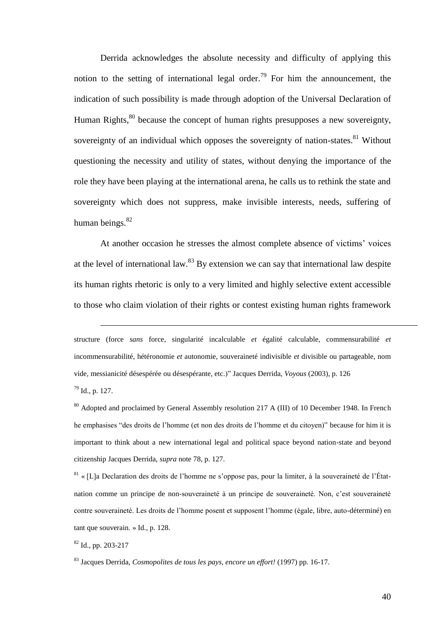Derrida acknowledges the absolute necessity and difficulty of applying this notion to the setting of international legal order.<sup>79</sup> For him the announcement, the indication of such possibility is made through adoption of the Universal Declaration of Human Rights,<sup>80</sup> because the concept of human rights presupposes a new sovereignty, sovereignty of an individual which opposes the sovereignty of nation-states.  $81$  Without questioning the necessity and utility of states, without denying the importance of the role they have been playing at the international arena, he calls us to rethink the state and sovereignty which does not suppress, make invisible interests, needs, suffering of human beings.<sup>82</sup>

At another occasion he stresses the almost complete absence of victims' voices at the level of international law. $83$  By extension we can say that international law despite its human rights rhetoric is only to a very limited and highly selective extent accessible to those who claim violation of their rights or contest existing human rights framework

structure (force *sans* force, singularité incalculable *et* égalité calculable, commensurabilité *et* incommensurabilité, hétéronomie *et* autonomie, souveraineté indivisible *et* divisible ou partageable, nom vide, messianicité désespérée ou désespérante, etc.)" Jacques Derrida, *Voyous* (2003), p. 126 <sup>79</sup> Id., p. 127.

<sup>80</sup> Adopted and proclaimed by General Assembly resolution 217 A (III) of 10 December 1948. In French he emphasises "des droits de l'homme (et non des droits de l'homme et du citoyen)" because for him it is important to think about a new international legal and political space beyond nation-state and beyond citizenship Jacques Derrida, *supra* note 78, p. 127.

<sup>81</sup> « [L]a Declaration des droits de l'homme ne s'oppose pas, pour la limiter, à la souveraineté de l'Étatnation comme un principe de non-souveraineté à un principe de souveraineté. Non, c'est souveraineté contre souveraineté. Les droits de l'homme posent et supposent l'homme (égale, libre, auto-déterminé) en tant que souverain. » Id., p. 128.

 $82$  Id., pp. 203-217

<u>.</u>

<sup>83</sup> Jacques Derrida, *Cosmopolites de tous les pays, encore un effort!* (1997) pp. 16-17.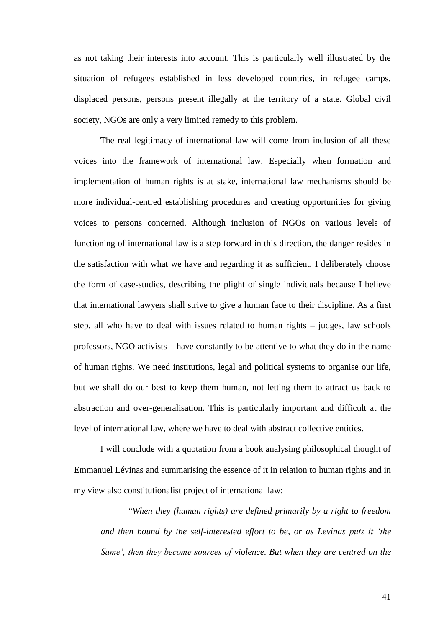as not taking their interests into account. This is particularly well illustrated by the situation of refugees established in less developed countries, in refugee camps, displaced persons, persons present illegally at the territory of a state. Global civil society, NGOs are only a very limited remedy to this problem.

The real legitimacy of international law will come from inclusion of all these voices into the framework of international law. Especially when formation and implementation of human rights is at stake, international law mechanisms should be more individual-centred establishing procedures and creating opportunities for giving voices to persons concerned. Although inclusion of NGOs on various levels of functioning of international law is a step forward in this direction, the danger resides in the satisfaction with what we have and regarding it as sufficient. I deliberately choose the form of case-studies, describing the plight of single individuals because I believe that international lawyers shall strive to give a human face to their discipline. As a first step, all who have to deal with issues related to human rights – judges, law schools professors, NGO activists – have constantly to be attentive to what they do in the name of human rights. We need institutions, legal and political systems to organise our life, but we shall do our best to keep them human, not letting them to attract us back to abstraction and over-generalisation. This is particularly important and difficult at the level of international law, where we have to deal with abstract collective entities.

I will conclude with a quotation from a book analysing philosophical thought of Emmanuel Lévinas and summarising the essence of it in relation to human rights and in my view also constitutionalist project of international law:

*"When they (human rights) are defined primarily by a right to freedom and then bound by the self-interested effort to be, or as Levinas puts it 'the Same', then they become sources of violence. But when they are centred on the*